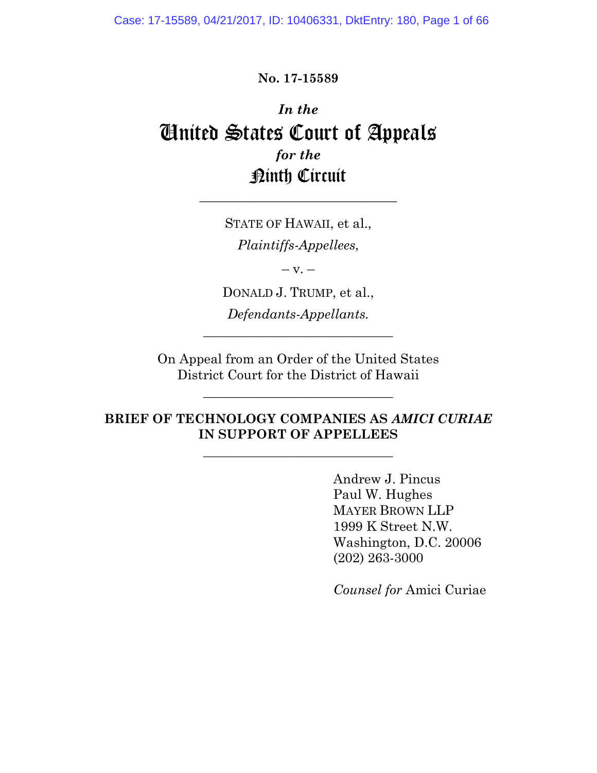Case: 17-15589, 04/21/2017, ID: 10406331, DktEntry: 180, Page 1 of 66

**No. 17-15589**

# *In the* United States Court of Appeals *for the* Ninth Circuit

STATE OF HAWAII, et al., *Plaintiffs-Appellees*,  $-$  v.  $-$ 

\_\_\_\_\_\_\_\_\_\_\_\_\_\_\_\_\_\_\_\_\_\_\_\_\_\_\_\_\_\_

DONALD J. TRUMP, et al., *Defendants-Appellants.*

 $\frac{1}{2}$  ,  $\frac{1}{2}$  ,  $\frac{1}{2}$  ,  $\frac{1}{2}$  ,  $\frac{1}{2}$  ,  $\frac{1}{2}$  ,  $\frac{1}{2}$  ,  $\frac{1}{2}$  ,  $\frac{1}{2}$  ,  $\frac{1}{2}$  ,  $\frac{1}{2}$  ,  $\frac{1}{2}$  ,  $\frac{1}{2}$  ,  $\frac{1}{2}$  ,  $\frac{1}{2}$  ,  $\frac{1}{2}$  ,  $\frac{1}{2}$  ,  $\frac{1}{2}$  ,  $\frac{1$ 

On Appeal from an Order of the United States District Court for the District of Hawaii

 $\frac{1}{2}$  ,  $\frac{1}{2}$  ,  $\frac{1}{2}$  ,  $\frac{1}{2}$  ,  $\frac{1}{2}$  ,  $\frac{1}{2}$  ,  $\frac{1}{2}$  ,  $\frac{1}{2}$  ,  $\frac{1}{2}$  ,  $\frac{1}{2}$  ,  $\frac{1}{2}$  ,  $\frac{1}{2}$  ,  $\frac{1}{2}$  ,  $\frac{1}{2}$  ,  $\frac{1}{2}$  ,  $\frac{1}{2}$  ,  $\frac{1}{2}$  ,  $\frac{1}{2}$  ,  $\frac{1$ 

### **BRIEF OF TECHNOLOGY COMPANIES AS** *AMICI CURIAE* **IN SUPPORT OF APPELLEES**

 $\frac{1}{2}$  ,  $\frac{1}{2}$  ,  $\frac{1}{2}$  ,  $\frac{1}{2}$  ,  $\frac{1}{2}$  ,  $\frac{1}{2}$  ,  $\frac{1}{2}$  ,  $\frac{1}{2}$  ,  $\frac{1}{2}$  ,  $\frac{1}{2}$  ,  $\frac{1}{2}$  ,  $\frac{1}{2}$  ,  $\frac{1}{2}$  ,  $\frac{1}{2}$  ,  $\frac{1}{2}$  ,  $\frac{1}{2}$  ,  $\frac{1}{2}$  ,  $\frac{1}{2}$  ,  $\frac{1$ 

Andrew J. Pincus Paul W. Hughes MAYER BROWN LLP 1999 K Street N.W. Washington, D.C. 20006 (202) 263-3000

*Counsel for* Amici Curiae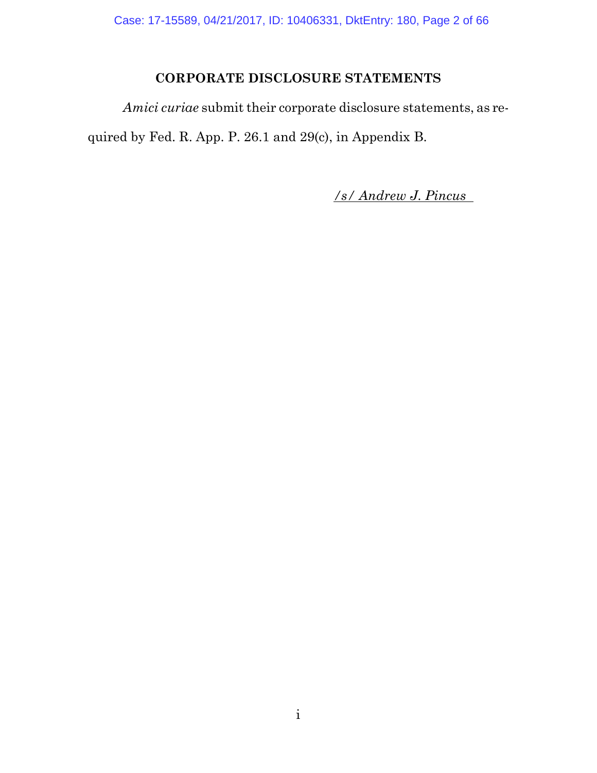Case: 17-15589, 04/21/2017, ID: 10406331, DktEntry: 180, Page 2 of 66

## **CORPORATE DISCLOSURE STATEMENTS**

*Amici curiae* submit their corporate disclosure statements, as required by Fed. R. App. P. 26.1 and 29(c), in Appendix B.

*/s/ Andrew J. Pincus*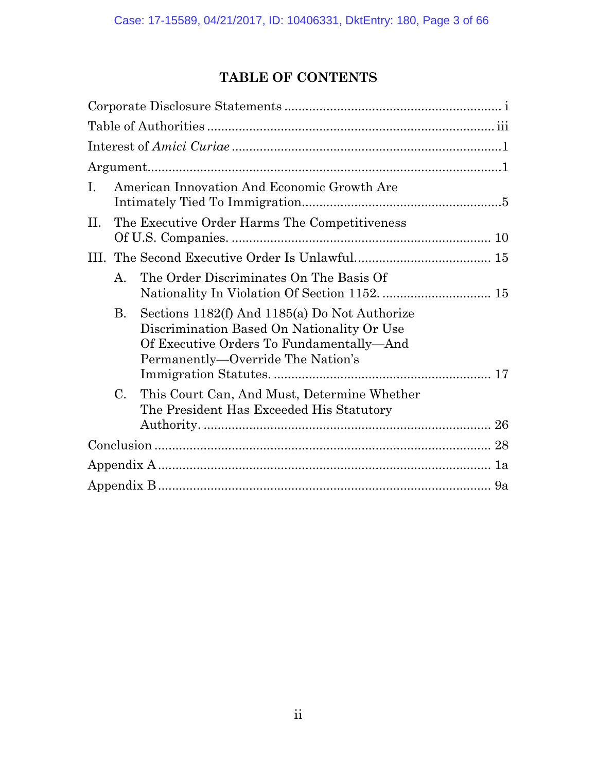## **TABLE OF CONTENTS**

| $\mathbf{I}$ . | American Innovation And Economic Growth Are |                                                                                                                                                                              |  |  |  |
|----------------|---------------------------------------------|------------------------------------------------------------------------------------------------------------------------------------------------------------------------------|--|--|--|
| П.             |                                             | The Executive Order Harms The Competitiveness                                                                                                                                |  |  |  |
|                |                                             |                                                                                                                                                                              |  |  |  |
|                | A.                                          | The Order Discriminates On The Basis Of                                                                                                                                      |  |  |  |
|                | <b>B.</b>                                   | Sections 1182(f) And 1185(a) Do Not Authorize<br>Discrimination Based On Nationality Or Use<br>Of Executive Orders To Fundamentally—And<br>Permanently—Override The Nation's |  |  |  |
|                |                                             |                                                                                                                                                                              |  |  |  |
|                | C.                                          | This Court Can, And Must, Determine Whether<br>The President Has Exceeded His Statutory                                                                                      |  |  |  |
|                |                                             |                                                                                                                                                                              |  |  |  |
|                |                                             |                                                                                                                                                                              |  |  |  |
|                |                                             |                                                                                                                                                                              |  |  |  |
|                |                                             |                                                                                                                                                                              |  |  |  |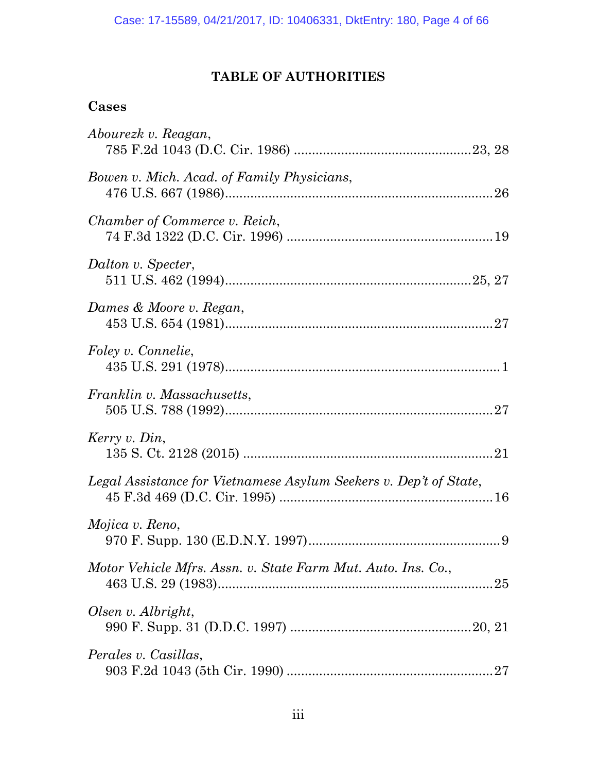## **TABLE OF AUTHORITIES**

### **Cases**

| Abourezk v. Reagan,                                               |
|-------------------------------------------------------------------|
| Bowen v. Mich. Acad. of Family Physicians,                        |
| Chamber of Commerce v. Reich,                                     |
| Dalton v. Specter,                                                |
| Dames & Moore v. Regan,                                           |
| Foley v. Connelie,                                                |
| Franklin v. Massachusetts,                                        |
| Kerry v. Din,                                                     |
| Legal Assistance for Vietnamese Asylum Seekers v. Dep't of State, |
| Mojica v. Reno,                                                   |
| Motor Vehicle Mfrs. Assn. v. State Farm Mut. Auto. Ins. Co.,      |
| Olsen v. Albright,                                                |
| Perales v. Casillas,                                              |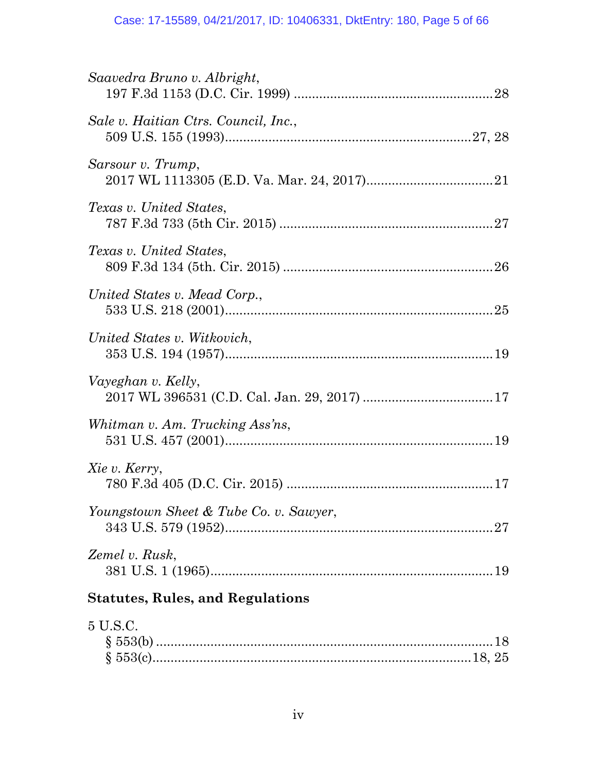#### Case: 17-15589, 04/21/2017, ID: 10406331, DktEntry: 180, Page 5 of 66

| Saavedra Bruno v. Albright,             |
|-----------------------------------------|
| Sale v. Haitian Ctrs. Council, Inc.,    |
| Sarsour v. Trump,                       |
| Texas v. United States,                 |
| Texas v. United States,                 |
| United States v. Mead Corp.,            |
| United States v. Witkovich,             |
| Vayeghan v. Kelly,                      |
| Whitman v. Am. Trucking Ass'ns,         |
| Xie v. Kerry,                           |
| Youngstown Sheet & Tube Co. v. Sawyer,  |
| Zemel v. Rusk,                          |
| <b>Statutes, Rules, and Regulations</b> |
| 5 U.S.C.                                |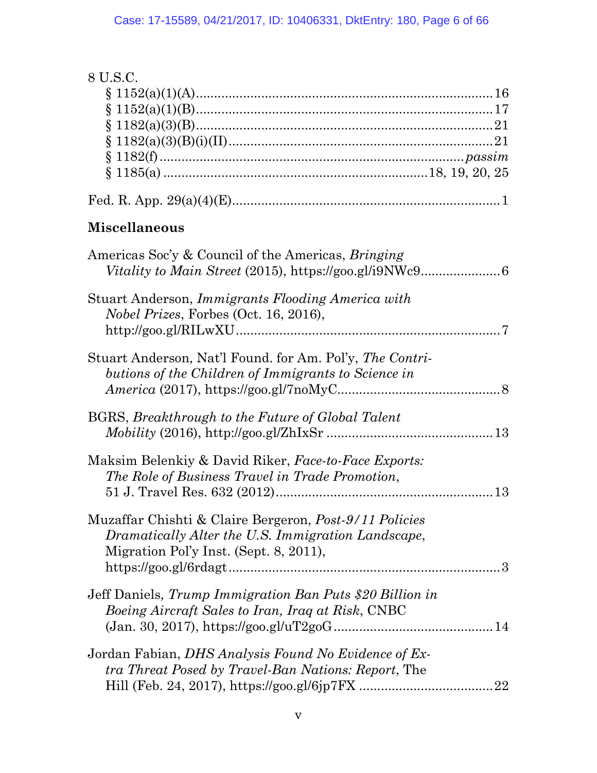| 8 U.S.C.                                                      |
|---------------------------------------------------------------|
|                                                               |
|                                                               |
|                                                               |
|                                                               |
|                                                               |
|                                                               |
|                                                               |
|                                                               |
| <b>Miscellaneous</b>                                          |
| Americas Soc'y & Council of the Americas, <i>Bringing</i>     |
|                                                               |
| Stuart Anderson, <i>Immigrants Flooding America with</i>      |
| <i>Nobel Prizes, Forbes (Oct. 16, 2016),</i>                  |
| $http://goo.g1/RILwXU .7$                                     |
|                                                               |
| Stuart Anderson, Nat'l Found. for Am. Pol'y, The Contri-      |
| butions of the Children of Immigrants to Science in           |
| $American (2017), \text{https://goo.gl/7noMyC8}$              |
|                                                               |
| BGRS, Breakthrough to the Future of Global Talent             |
|                                                               |
| Maksim Belenkiy & David Riker, Face-to-Face Exports:          |
| The Role of Business Travel in Trade Promotion,               |
|                                                               |
|                                                               |
| Muzaffar Chishti & Claire Bergeron, <i>Post-9/11 Policies</i> |
| Dramatically Alter the U.S. Immigration Landscape,            |
| Migration Pol'y Inst. (Sept. 8, 2011),                        |
|                                                               |
|                                                               |
| Jeff Daniels, Trump Immigration Ban Puts \$20 Billion in      |
| <i>Boeing Aircraft Sales to Iran, Iraq at Risk, CNBC</i>      |
| $(Jan. 30, 2017), https://goo.gl/uT2goG$                      |
|                                                               |
| Jordan Fabian, <i>DHS Analysis Found No Evidence of Ex-</i>   |
| <i>tra Threat Posed by Travel-Ban Nations: Report, The</i>    |
|                                                               |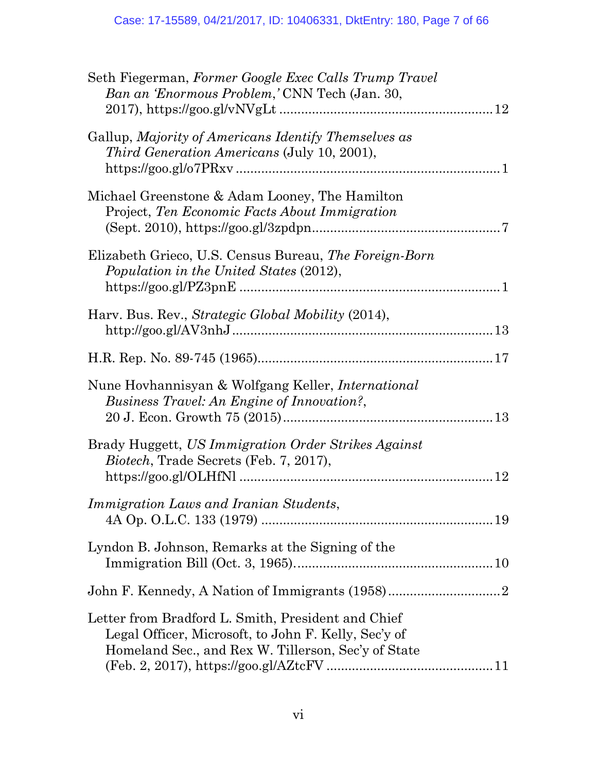| Seth Fiegerman, Former Google Exec Calls Trump Travel<br>Ban an 'Enormous Problem,' CNN Tech (Jan. 30,                                                            |  |
|-------------------------------------------------------------------------------------------------------------------------------------------------------------------|--|
| Gallup, Majority of Americans Identify Themselves as<br><i>Third Generation Americans (July 10, 2001),</i>                                                        |  |
| Michael Greenstone & Adam Looney, The Hamilton<br>Project, Ten Economic Facts About Immigration                                                                   |  |
| Elizabeth Grieco, U.S. Census Bureau, The Foreign-Born<br>Population in the United States (2012),                                                                 |  |
| Harv. Bus. Rev., Strategic Global Mobility (2014),                                                                                                                |  |
|                                                                                                                                                                   |  |
| Nune Hovhannisyan & Wolfgang Keller, <i>International</i><br>Business Travel: An Engine of Innovation?,                                                           |  |
| Brady Huggett, US Immigration Order Strikes Against<br><i>Biotech</i> , Trade Secrets (Feb. 7, 2017),<br>12                                                       |  |
| Immigration Laws and Iranian Students,                                                                                                                            |  |
| Lyndon B. Johnson, Remarks at the Signing of the                                                                                                                  |  |
|                                                                                                                                                                   |  |
| Letter from Bradford L. Smith, President and Chief<br>Legal Officer, Microsoft, to John F. Kelly, Sec'y of<br>Homeland Sec., and Rex W. Tillerson, Sec'y of State |  |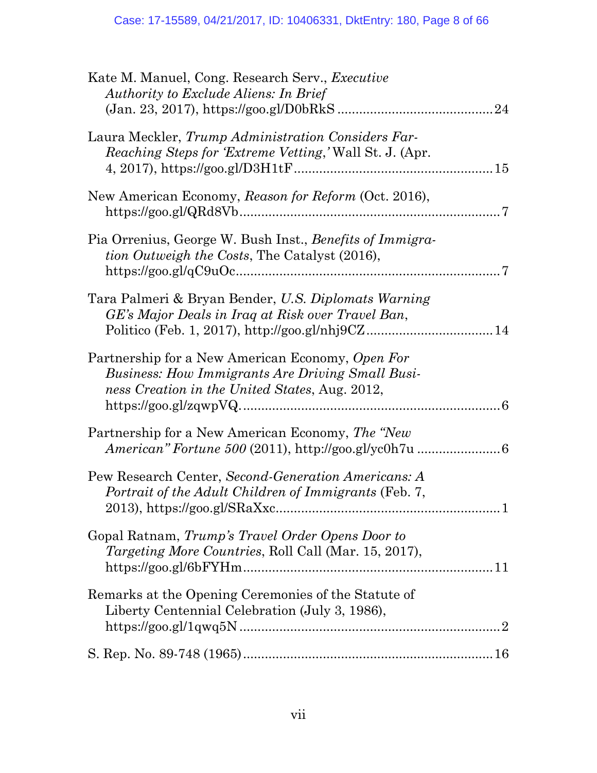| Kate M. Manuel, Cong. Research Serv., <i>Executive</i><br>Authority to Exclude Aliens: In Brief<br>24                                                         |
|---------------------------------------------------------------------------------------------------------------------------------------------------------------|
| Laura Meckler, Trump Administration Considers Far-<br><i>Reaching Steps for 'Extreme Vetting,'</i> Wall St. J. (Apr.)                                         |
| New American Economy, Reason for Reform (Oct. 2016),                                                                                                          |
| Pia Orrenius, George W. Bush Inst., Benefits of Immigra-<br><i>tion Outweigh the Costs</i> , The Catalyst (2016),<br>. 7                                      |
| Tara Palmeri & Bryan Bender, U.S. Diplomats Warning<br>GE's Major Deals in Iraq at Risk over Travel Ban,                                                      |
| Partnership for a New American Economy, Open For<br><b>Business: How Immigrants Are Driving Small Busi-</b><br>ness Creation in the United States, Aug. 2012, |
| Partnership for a New American Economy, The "New<br><i>American" Fortune 500 (2011), http://goo.gl/yc0h7u</i> 6                                               |
| Pew Research Center, Second-Generation Americans: A<br>Portrait of the Adult Children of Immigrants (Feb. 7,                                                  |
| Gopal Ratnam, <i>Trump's Travel Order Opens Door to</i><br>Targeting More Countries, Roll Call (Mar. 15, 2017),                                               |
| Remarks at the Opening Ceremonies of the Statute of<br>Liberty Centennial Celebration (July 3, 1986),                                                         |
|                                                                                                                                                               |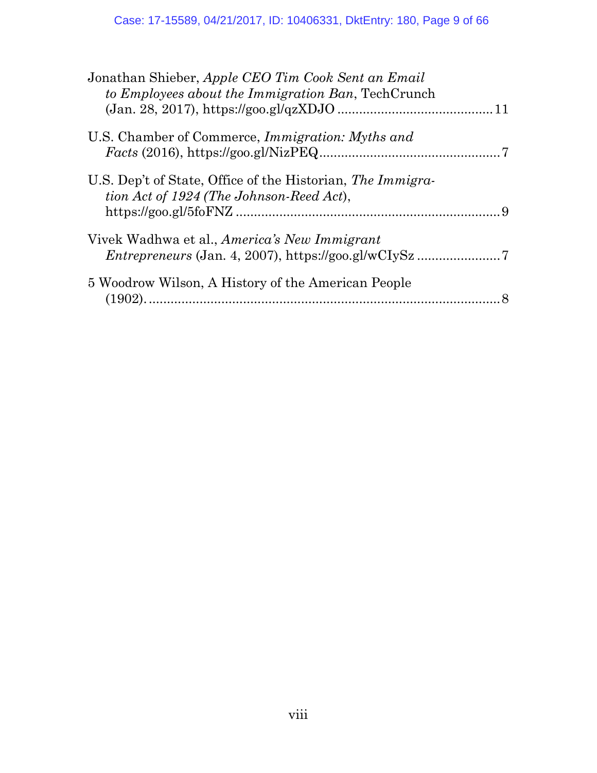| Jonathan Shieber, Apple CEO Tim Cook Sent an Email<br>to Employees about the Immigration Ban, TechCrunch |  |
|----------------------------------------------------------------------------------------------------------|--|
| U.S. Chamber of Commerce, <i>Immigration: Myths and</i><br>$Facts (2016), https://goo.gl/NizPEQ10101010$ |  |
| U.S. Dep't of State, Office of the Historian, The Immigra-<br>tion Act of 1924 (The Johnson-Reed Act),   |  |
| Vivek Wadhwa et al., America's New Immigrant                                                             |  |
| 5 Woodrow Wilson, A History of the American People                                                       |  |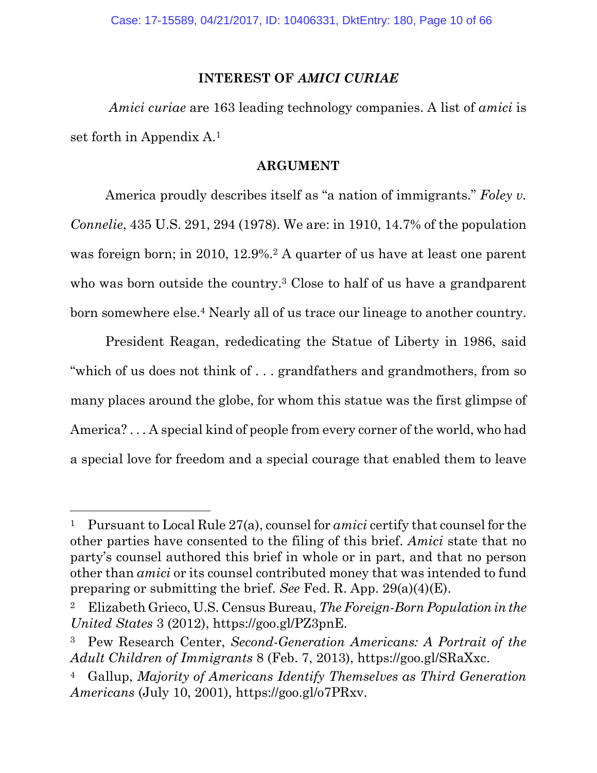#### **INTEREST OF** *AMICI CURIAE*

*Amici curiae* are 163 leading technology companies. A list of *amici* is set forth in Appendix A.<sup>1</sup>

#### **ARGUMENT**

America proudly describes itself as "a nation of immigrants." *Foley v. Connelie*, 435 U.S. 291, 294 (1978). We are: in 1910, 14.7% of the population was foreign born; in 2010, 12.9%.<sup>2</sup> A quarter of us have at least one parent who was born outside the country.<sup>3</sup> Close to half of us have a grandparent born somewhere else.<sup>4</sup> Nearly all of us trace our lineage to another country.

President Reagan, rededicating the Statue of Liberty in 1986, said "which of us does not think of . . . grandfathers and grandmothers, from so many places around the globe, for whom this statue was the first glimpse of America? . . . A special kind of people from every corner of the world, who had a special love for freedom and a special courage that enabled them to leave

<sup>1</sup> Pursuant to Local Rule 27(a), counsel for *amici* certify that counsel for the other parties have consented to the filing of this brief. *Amici* state that no party's counsel authored this brief in whole or in part, and that no person other than *amici* or its counsel contributed money that was intended to fund preparing or submitting the brief. *See* Fed. R. App. 29(a)(4)(E).

<sup>2</sup> Elizabeth Grieco, U.S. Census Bureau, *The Foreign-Born Population in the United States* 3 (2012), https://goo.gl/PZ3pnE.

<sup>3</sup> Pew Research Center, *Second-Generation Americans: A Portrait of the Adult Children of Immigrants* 8 (Feb. 7, 2013), https://goo.gl/SRaXxc.

<sup>4</sup> Gallup, *Majority of Americans Identify Themselves as Third Generation Americans* (July 10, 2001), https://goo.gl/o7PRxv.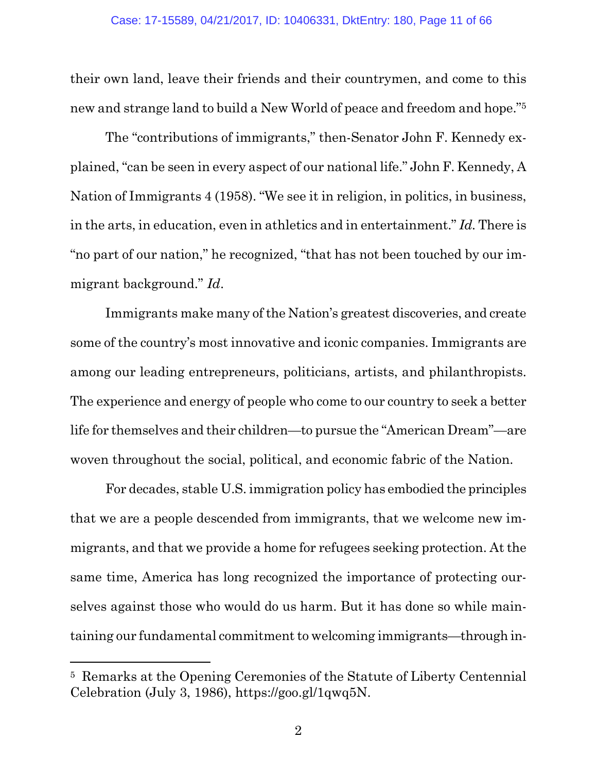their own land, leave their friends and their countrymen, and come to this new and strange land to build a New World of peace and freedom and hope."<sup>5</sup>

The "contributions of immigrants," then-Senator John F. Kennedy explained, "can be seen in every aspect of our national life." John F. Kennedy, A Nation of Immigrants 4 (1958). "We see it in religion, in politics, in business, in the arts, in education, even in athletics and in entertainment." *Id.* There is "no part of our nation," he recognized, "that has not been touched by our immigrant background." *Id*.

Immigrants make many of the Nation's greatest discoveries, and create some of the country's most innovative and iconic companies. Immigrants are among our leading entrepreneurs, politicians, artists, and philanthropists. The experience and energy of people who come to our country to seek a better life for themselves and their children—to pursue the "American Dream"—are woven throughout the social, political, and economic fabric of the Nation.

For decades, stable U.S. immigration policy has embodied the principles that we are a people descended from immigrants, that we welcome new immigrants, and that we provide a home for refugees seeking protection. At the same time, America has long recognized the importance of protecting ourselves against those who would do us harm. But it has done so while maintaining our fundamental commitment to welcoming immigrants—through in-

<sup>5</sup> Remarks at the Opening Ceremonies of the Statute of Liberty Centennial Celebration (July 3, 1986), https://goo.gl/1qwq5N.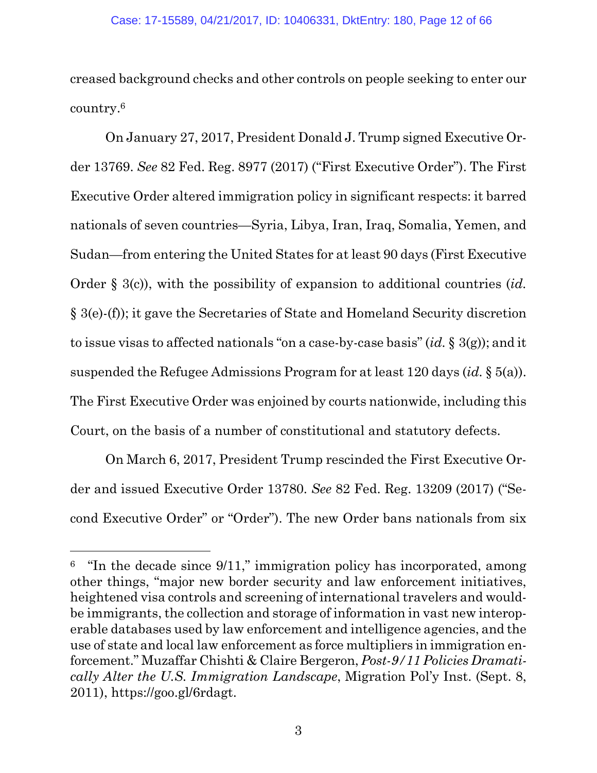creased background checks and other controls on people seeking to enter our country.<sup>6</sup>

On January 27, 2017, President Donald J. Trump signed Executive Order 13769. *See* 82 Fed. Reg. 8977 (2017) ("First Executive Order"). The First Executive Order altered immigration policy in significant respects: it barred nationals of seven countries—Syria, Libya, Iran, Iraq, Somalia, Yemen, and Sudan—from entering the United States for at least 90 days (First Executive Order § 3(c)), with the possibility of expansion to additional countries (*id.* § 3(e)-(f)); it gave the Secretaries of State and Homeland Security discretion to issue visas to affected nationals "on a case-by-case basis" (*id.* § 3(g)); and it suspended the Refugee Admissions Program for at least 120 days (*id.* § 5(a)). The First Executive Order was enjoined by courts nationwide, including this Court, on the basis of a number of constitutional and statutory defects.

On March 6, 2017, President Trump rescinded the First Executive Order and issued Executive Order 13780. *See* 82 Fed. Reg. 13209 (2017) ("Second Executive Order" or "Order"). The new Order bans nationals from six

<sup>&</sup>lt;sup>6</sup> "In the decade since 9/11," immigration policy has incorporated, among other things, "major new border security and law enforcement initiatives, heightened visa controls and screening of international travelers and wouldbe immigrants, the collection and storage of information in vast new interoperable databases used by law enforcement and intelligence agencies, and the use of state and local law enforcement as force multipliers in immigration enforcement." Muzaffar Chishti & Claire Bergeron, *Post-9/11 Policies Dramatically Alter the U.S. Immigration Landscape*, Migration Pol'y Inst. (Sept. 8, 2011), https://goo.gl/6rdagt.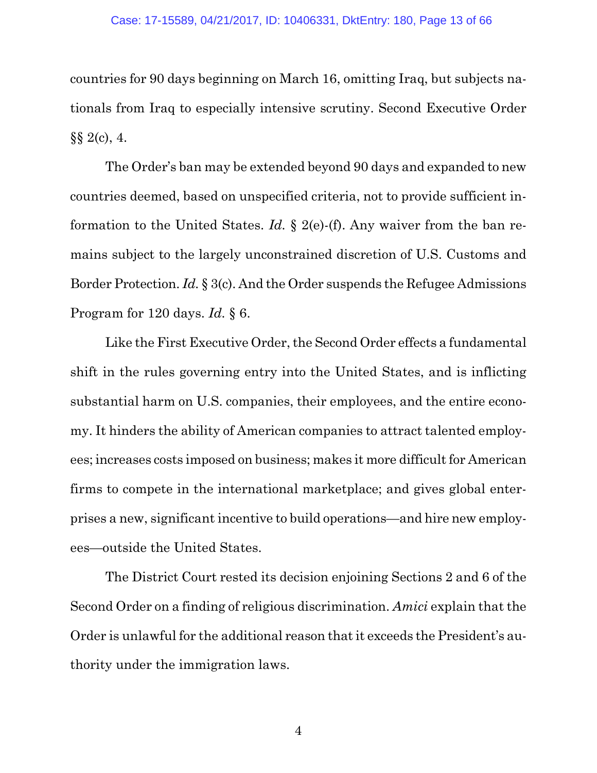countries for 90 days beginning on March 16, omitting Iraq, but subjects nationals from Iraq to especially intensive scrutiny. Second Executive Order  $\S\S 2(c)$ , 4.

The Order's ban may be extended beyond 90 days and expanded to new countries deemed, based on unspecified criteria, not to provide sufficient information to the United States. *Id.* § 2(e)-(f). Any waiver from the ban remains subject to the largely unconstrained discretion of U.S. Customs and Border Protection. *Id.* § 3(c). And the Order suspends the Refugee Admissions Program for 120 days. *Id.* § 6.

Like the First Executive Order, the Second Order effects a fundamental shift in the rules governing entry into the United States, and is inflicting substantial harm on U.S. companies, their employees, and the entire economy. It hinders the ability of American companies to attract talented employees; increases costs imposed on business; makes it more difficult for American firms to compete in the international marketplace; and gives global enterprises a new, significant incentive to build operations—and hire new employees—outside the United States.

The District Court rested its decision enjoining Sections 2 and 6 of the Second Order on a finding of religious discrimination. *Amici* explain that the Order is unlawful for the additional reason that it exceeds the President's authority under the immigration laws.

4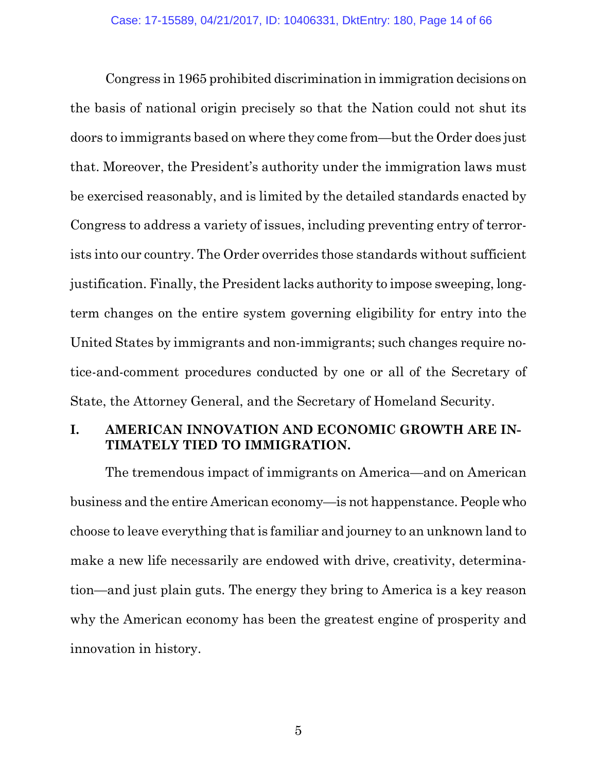Congress in 1965 prohibited discrimination in immigration decisions on the basis of national origin precisely so that the Nation could not shut its doors to immigrants based on where they come from—but the Order does just that. Moreover, the President's authority under the immigration laws must be exercised reasonably, and is limited by the detailed standards enacted by Congress to address a variety of issues, including preventing entry of terrorists into our country. The Order overrides those standards without sufficient justification. Finally, the President lacks authority to impose sweeping, longterm changes on the entire system governing eligibility for entry into the United States by immigrants and non-immigrants; such changes require notice-and-comment procedures conducted by one or all of the Secretary of State, the Attorney General, and the Secretary of Homeland Security.

### **I. AMERICAN INNOVATION AND ECONOMIC GROWTH ARE IN-TIMATELY TIED TO IMMIGRATION.**

The tremendous impact of immigrants on America—and on American business and the entire American economy—is not happenstance. People who choose to leave everything that is familiar and journey to an unknown land to make a new life necessarily are endowed with drive, creativity, determination—and just plain guts. The energy they bring to America is a key reason why the American economy has been the greatest engine of prosperity and innovation in history.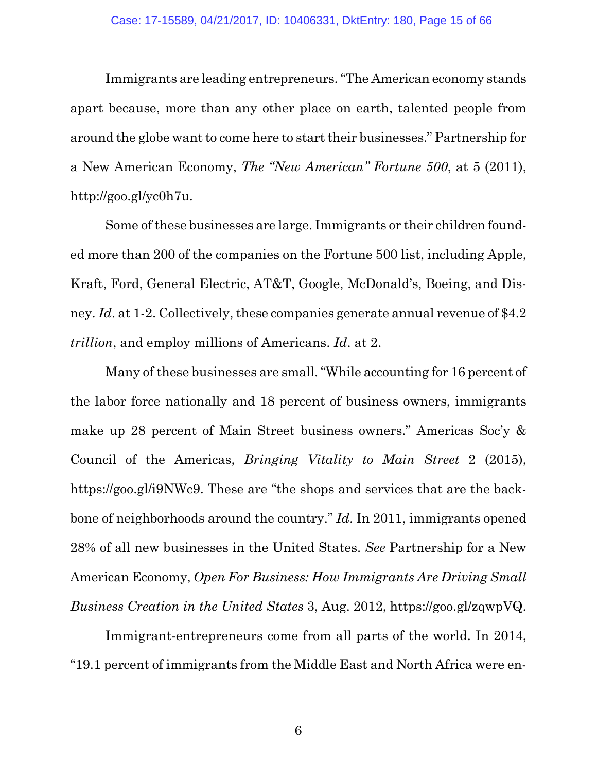Immigrants are leading entrepreneurs. "The American economy stands apart because, more than any other place on earth, talented people from around the globe want to come here to start their businesses." Partnership for a New American Economy, *The "New American" Fortune 500*, at 5 (2011), http://goo.gl/yc0h7u.

Some of these businesses are large. Immigrants or their children founded more than 200 of the companies on the Fortune 500 list, including Apple, Kraft, Ford, General Electric, AT&T, Google, McDonald's, Boeing, and Disney. *Id*. at 1-2. Collectively, these companies generate annual revenue of \$4.2 *trillion*, and employ millions of Americans. *Id*. at 2.

Many of these businesses are small. "While accounting for 16 percent of the labor force nationally and 18 percent of business owners, immigrants make up 28 percent of Main Street business owners." Americas Soc'y & Council of the Americas, *Bringing Vitality to Main Street* 2 (2015), https://goo.gl/i9NWc9. These are "the shops and services that are the backbone of neighborhoods around the country." *Id*. In 2011, immigrants opened 28% of all new businesses in the United States. *See* Partnership for a New American Economy, *Open For Business: How Immigrants Are Driving Small Business Creation in the United States* 3, Aug. 2012, https://goo.gl/zqwpVQ.

Immigrant-entrepreneurs come from all parts of the world. In 2014, "19.1 percent of immigrants from the Middle East and North Africa were en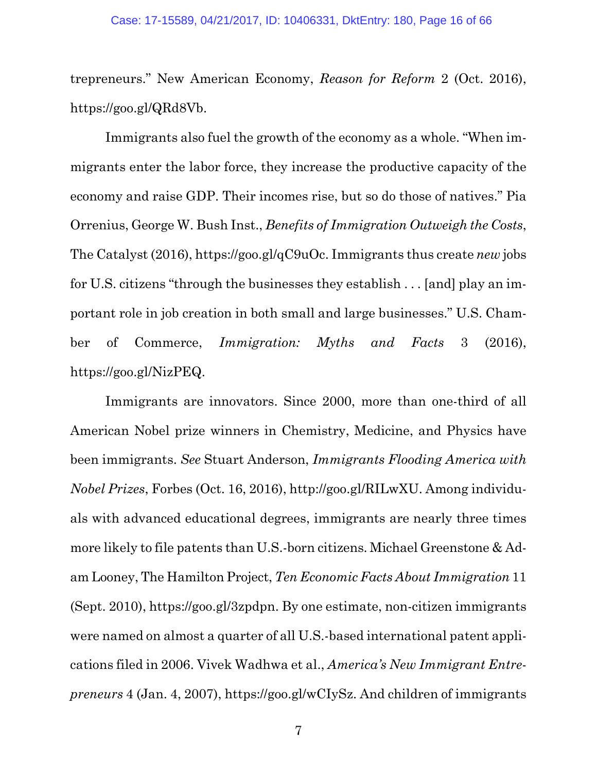trepreneurs." New American Economy, *Reason for Reform* 2 (Oct. 2016), https://goo.gl/QRd8Vb.

Immigrants also fuel the growth of the economy as a whole. "When immigrants enter the labor force, they increase the productive capacity of the economy and raise GDP. Their incomes rise, but so do those of natives." Pia Orrenius, George W. Bush Inst., *Benefits of Immigration Outweigh the Costs*, The Catalyst (2016), https://goo.gl/qC9uOc. Immigrants thus create *new* jobs for U.S. citizens "through the businesses they establish . . . [and] play an important role in job creation in both small and large businesses." U.S. Chamber of Commerce, *Immigration: Myths and Facts* 3 (2016), https://goo.gl/NizPEQ.

Immigrants are innovators. Since 2000, more than one-third of all American Nobel prize winners in Chemistry, Medicine, and Physics have been immigrants. *See* Stuart Anderson, *Immigrants Flooding America with Nobel Prizes*, Forbes (Oct. 16, 2016), http://goo.gl/RILwXU. Among individuals with advanced educational degrees, immigrants are nearly three times more likely to file patents than U.S.-born citizens. Michael Greenstone & Adam Looney, The Hamilton Project, *Ten Economic Facts About Immigration* 11 (Sept. 2010), https://goo.gl/3zpdpn. By one estimate, non-citizen immigrants were named on almost a quarter of all U.S.-based international patent applications filed in 2006. Vivek Wadhwa et al., *America's New Immigrant Entrepreneurs* 4 (Jan. 4, 2007), https://goo.gl/wCIySz. And children of immigrants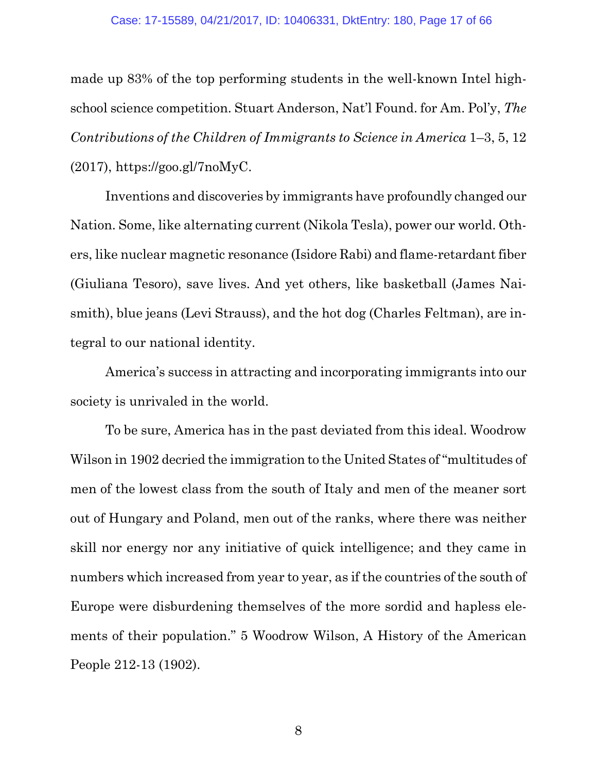made up 83% of the top performing students in the well-known Intel highschool science competition. Stuart Anderson, Nat'l Found. for Am. Pol'y, *The Contributions of the Children of Immigrants to Science in America* 1–3, 5, 12 (2017), https://goo.gl/7noMyC.

Inventions and discoveries by immigrants have profoundly changed our Nation. Some, like alternating current (Nikola Tesla), power our world. Others, like nuclear magnetic resonance (Isidore Rabi) and flame-retardant fiber (Giuliana Tesoro), save lives. And yet others, like basketball (James Naismith), blue jeans (Levi Strauss), and the hot dog (Charles Feltman), are integral to our national identity.

America's success in attracting and incorporating immigrants into our society is unrivaled in the world.

To be sure, America has in the past deviated from this ideal. Woodrow Wilson in 1902 decried the immigration to the United States of "multitudes of men of the lowest class from the south of Italy and men of the meaner sort out of Hungary and Poland, men out of the ranks, where there was neither skill nor energy nor any initiative of quick intelligence; and they came in numbers which increased from year to year, as if the countries of the south of Europe were disburdening themselves of the more sordid and hapless elements of their population." 5 Woodrow Wilson, A History of the American People 212-13 (1902).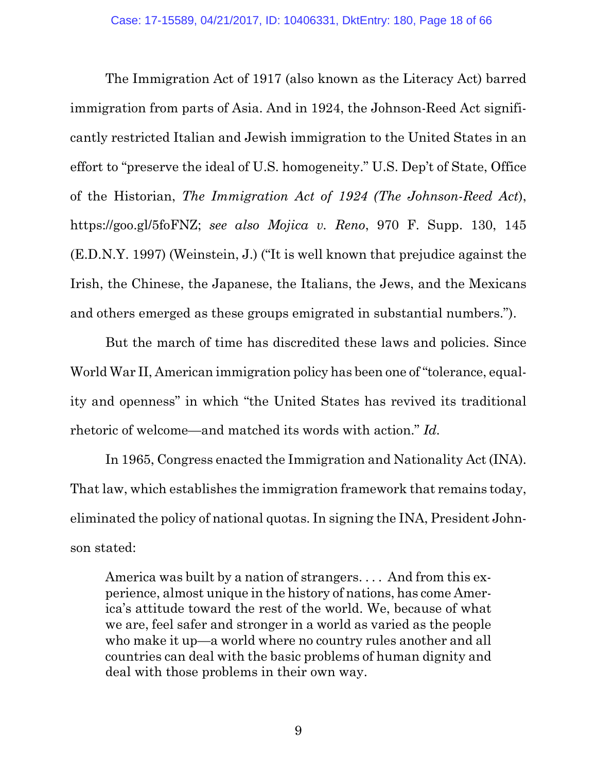The Immigration Act of 1917 (also known as the Literacy Act) barred immigration from parts of Asia. And in 1924, the Johnson-Reed Act significantly restricted Italian and Jewish immigration to the United States in an effort to "preserve the ideal of U.S. homogeneity." U.S. Dep't of State, Office of the Historian, *The Immigration Act of 1924 (The Johnson-Reed Act*), https://goo.gl/5foFNZ; *see also Mojica v. Reno*, 970 F. Supp. 130, 145 (E.D.N.Y. 1997) (Weinstein, J.) ("It is well known that prejudice against the Irish, the Chinese, the Japanese, the Italians, the Jews, and the Mexicans and others emerged as these groups emigrated in substantial numbers.").

But the march of time has discredited these laws and policies. Since World War II, American immigration policy has been one of "tolerance, equality and openness" in which "the United States has revived its traditional rhetoric of welcome—and matched its words with action." *Id.*

In 1965, Congress enacted the Immigration and Nationality Act (INA). That law, which establishes the immigration framework that remains today, eliminated the policy of national quotas. In signing the INA, President Johnson stated:

America was built by a nation of strangers. . . . And from this experience, almost unique in the history of nations, has come America's attitude toward the rest of the world. We, because of what we are, feel safer and stronger in a world as varied as the people who make it up—a world where no country rules another and all countries can deal with the basic problems of human dignity and deal with those problems in their own way.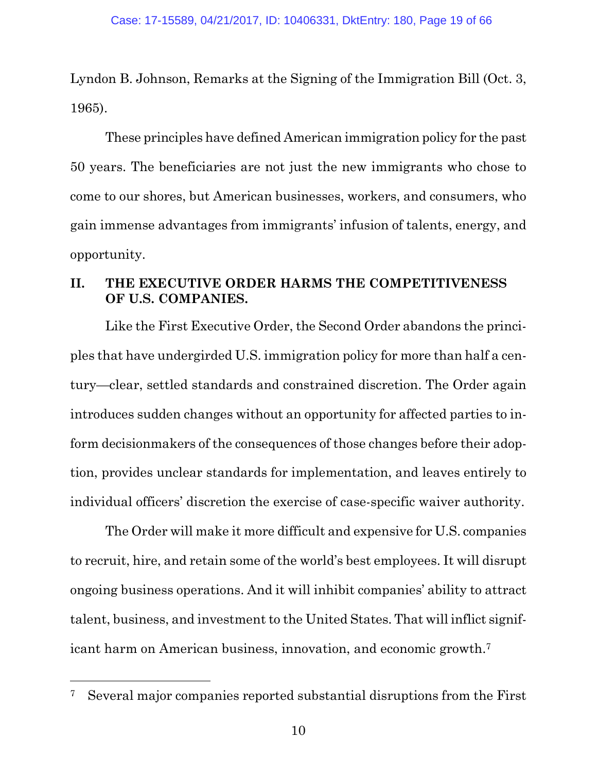Lyndon B. Johnson, Remarks at the Signing of the Immigration Bill (Oct. 3, 1965).

These principles have defined American immigration policy for the past 50 years. The beneficiaries are not just the new immigrants who chose to come to our shores, but American businesses, workers, and consumers, who gain immense advantages from immigrants' infusion of talents, energy, and opportunity.

### **II. THE EXECUTIVE ORDER HARMS THE COMPETITIVENESS OF U.S. COMPANIES.**

Like the First Executive Order, the Second Order abandons the principles that have undergirded U.S. immigration policy for more than half a century—clear, settled standards and constrained discretion. The Order again introduces sudden changes without an opportunity for affected parties to inform decisionmakers of the consequences of those changes before their adoption, provides unclear standards for implementation, and leaves entirely to individual officers' discretion the exercise of case-specific waiver authority.

The Order will make it more difficult and expensive for U.S. companies to recruit, hire, and retain some of the world's best employees. It will disrupt ongoing business operations. And it will inhibit companies' ability to attract talent, business, and investment to the United States. That will inflict significant harm on American business, innovation, and economic growth.<sup>7</sup>

<sup>7</sup> Several major companies reported substantial disruptions from the First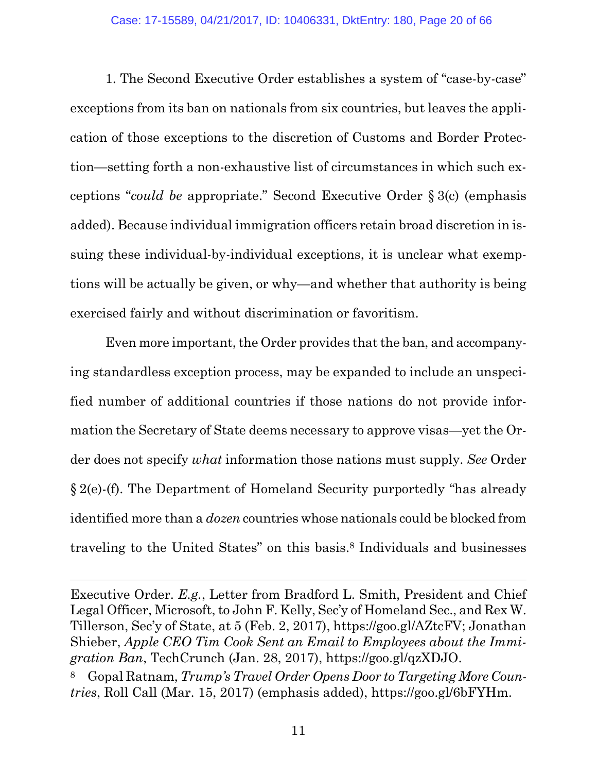1. The Second Executive Order establishes a system of "case-by-case" exceptions from its ban on nationals from six countries, but leaves the application of those exceptions to the discretion of Customs and Border Protection—setting forth a non-exhaustive list of circumstances in which such exceptions "*could be* appropriate." Second Executive Order § 3(c) (emphasis added). Because individual immigration officers retain broad discretion in issuing these individual-by-individual exceptions, it is unclear what exemptions will be actually be given, or why—and whether that authority is being exercised fairly and without discrimination or favoritism.

Even more important, the Order provides that the ban, and accompanying standardless exception process, may be expanded to include an unspecified number of additional countries if those nations do not provide information the Secretary of State deems necessary to approve visas—yet the Order does not specify *what* information those nations must supply. *See* Order § 2(e)-(f). The Department of Homeland Security purportedly "has already identified more than a *dozen* countries whose nationals could be blocked from traveling to the United States" on this basis.<sup>8</sup> Individuals and businesses

Executive Order. *E.g.*, Letter from Bradford L. Smith, President and Chief Legal Officer, Microsoft, to John F. Kelly, Sec'y of Homeland Sec., and Rex W. Tillerson, Sec'y of State, at 5 (Feb. 2, 2017), https://goo.gl/AZtcFV; Jonathan Shieber, *Apple CEO Tim Cook Sent an Email to Employees about the Immigration Ban*, TechCrunch (Jan. 28, 2017), https://goo.gl/qzXDJO. <sup>8</sup> Gopal Ratnam, *Trump's Travel Order Opens Door to Targeting More Coun-*

*tries*, Roll Call (Mar. 15, 2017) (emphasis added), https://goo.gl/6bFYHm.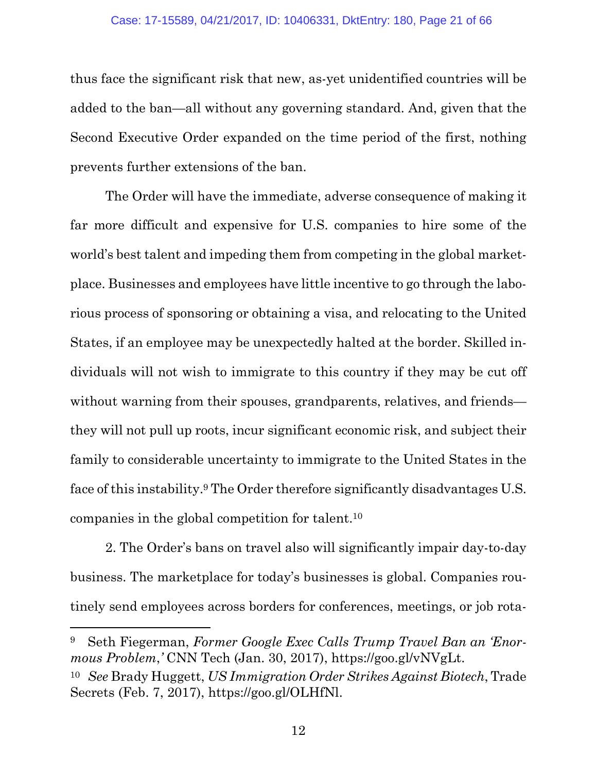thus face the significant risk that new, as-yet unidentified countries will be added to the ban—all without any governing standard. And, given that the Second Executive Order expanded on the time period of the first, nothing prevents further extensions of the ban.

The Order will have the immediate, adverse consequence of making it far more difficult and expensive for U.S. companies to hire some of the world's best talent and impeding them from competing in the global marketplace. Businesses and employees have little incentive to go through the laborious process of sponsoring or obtaining a visa, and relocating to the United States, if an employee may be unexpectedly halted at the border. Skilled individuals will not wish to immigrate to this country if they may be cut off without warning from their spouses, grandparents, relatives, and friends they will not pull up roots, incur significant economic risk, and subject their family to considerable uncertainty to immigrate to the United States in the face of this instability.<sup>9</sup> The Order therefore significantly disadvantages U.S. companies in the global competition for talent.<sup>10</sup>

2. The Order's bans on travel also will significantly impair day-to-day business. The marketplace for today's businesses is global. Companies routinely send employees across borders for conferences, meetings, or job rota-

<sup>9</sup> Seth Fiegerman, *Former Google Exec Calls Trump Travel Ban an 'Enormous Problem*,*'* CNN Tech (Jan. 30, 2017), https://goo.gl/vNVgLt. <sup>10</sup> *See* Brady Huggett, *US Immigration Order Strikes Against Biotech*, Trade

Secrets (Feb. 7, 2017), https://goo.gl/OLHfNl.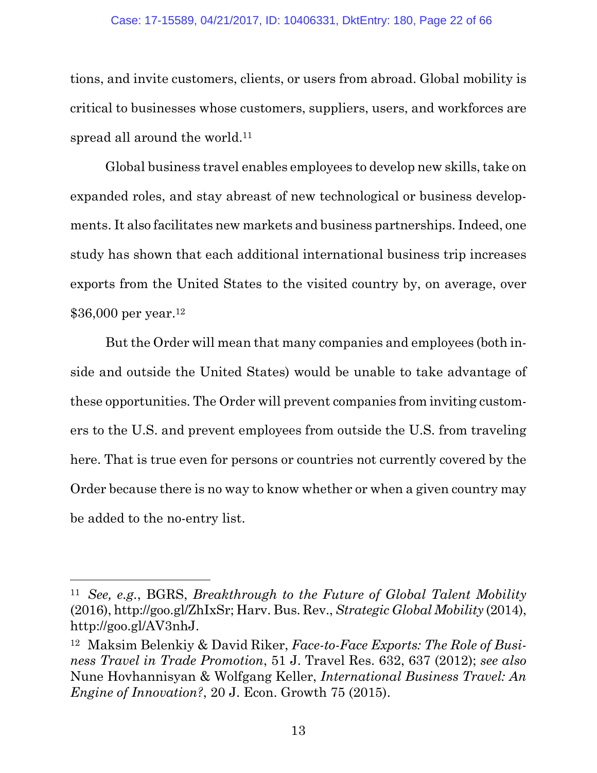#### Case: 17-15589, 04/21/2017, ID: 10406331, DktEntry: 180, Page 22 of 66

tions, and invite customers, clients, or users from abroad. Global mobility is critical to businesses whose customers, suppliers, users, and workforces are spread all around the world.<sup>11</sup>

Global business travel enables employees to develop new skills, take on expanded roles, and stay abreast of new technological or business developments. It also facilitates new markets and business partnerships. Indeed, one study has shown that each additional international business trip increases exports from the United States to the visited country by, on average, over \$36,000 per year.<sup>12</sup>

But the Order will mean that many companies and employees (both inside and outside the United States) would be unable to take advantage of these opportunities. The Order will prevent companies from inviting customers to the U.S. and prevent employees from outside the U.S. from traveling here. That is true even for persons or countries not currently covered by the Order because there is no way to know whether or when a given country may be added to the no-entry list.

<sup>11</sup> *See, e.g.*, BGRS, *Breakthrough to the Future of Global Talent Mobility* (2016), http://goo.gl/ZhIxSr; Harv. Bus. Rev., *Strategic Global Mobility* (2014), http://goo.gl/AV3nhJ.

<sup>12</sup> Maksim Belenkiy & David Riker, *Face-to-Face Exports: The Role of Business Travel in Trade Promotion*, 51 J. Travel Res. 632, 637 (2012); *see also* Nune Hovhannisyan & Wolfgang Keller, *International Business Travel: An Engine of Innovation?*, 20 J. Econ. Growth 75 (2015).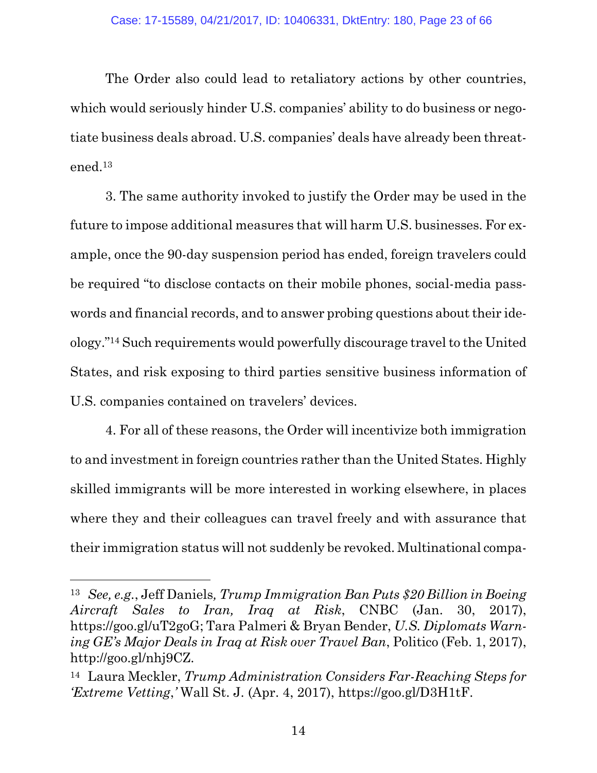The Order also could lead to retaliatory actions by other countries, which would seriously hinder U.S. companies' ability to do business or negotiate business deals abroad. U.S. companies' deals have already been threatened.<sup>13</sup>

3. The same authority invoked to justify the Order may be used in the future to impose additional measures that will harm U.S. businesses. For example, once the 90-day suspension period has ended, foreign travelers could be required "to disclose contacts on their mobile phones, social-media passwords and financial records, and to answer probing questions about their ideology."<sup>14</sup> Such requirements would powerfully discourage travel to the United States, and risk exposing to third parties sensitive business information of U.S. companies contained on travelers' devices.

4. For all of these reasons, the Order will incentivize both immigration to and investment in foreign countries rather than the United States. Highly skilled immigrants will be more interested in working elsewhere, in places where they and their colleagues can travel freely and with assurance that their immigration status will not suddenly be revoked. Multinational compa-

<sup>13</sup> *See, e.g.*, Jeff Daniels*, Trump Immigration Ban Puts \$20 Billion in Boeing Aircraft Sales to Iran, Iraq at Risk*, CNBC (Jan. 30, 2017), https://goo.gl/uT2goG; Tara Palmeri & Bryan Bender, *U.S. Diplomats Warning GE's Major Deals in Iraq at Risk over Travel Ban*, Politico (Feb. 1, 2017), http://goo.gl/nhj9CZ.

<sup>14</sup> Laura Meckler, *Trump Administration Considers Far-Reaching Steps for 'Extreme Vetting*,*'* Wall St. J. (Apr. 4, 2017), https://goo.gl/D3H1tF.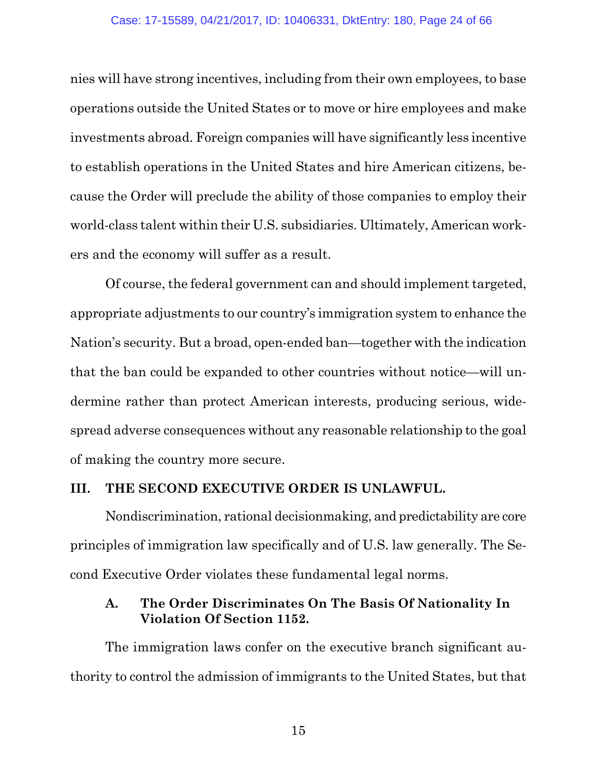nies will have strong incentives, including from their own employees, to base operations outside the United States or to move or hire employees and make investments abroad. Foreign companies will have significantly less incentive to establish operations in the United States and hire American citizens, because the Order will preclude the ability of those companies to employ their world-class talent within their U.S. subsidiaries. Ultimately, American workers and the economy will suffer as a result.

Of course, the federal government can and should implement targeted, appropriate adjustments to our country's immigration system to enhance the Nation's security. But a broad, open-ended ban—together with the indication that the ban could be expanded to other countries without notice—will undermine rather than protect American interests, producing serious, widespread adverse consequences without any reasonable relationship to the goal of making the country more secure.

#### **III. THE SECOND EXECUTIVE ORDER IS UNLAWFUL.**

Nondiscrimination, rational decisionmaking, and predictability are core principles of immigration law specifically and of U.S. law generally. The Second Executive Order violates these fundamental legal norms.

#### **A. The Order Discriminates On The Basis Of Nationality In Violation Of Section 1152.**

The immigration laws confer on the executive branch significant authority to control the admission of immigrants to the United States, but that

15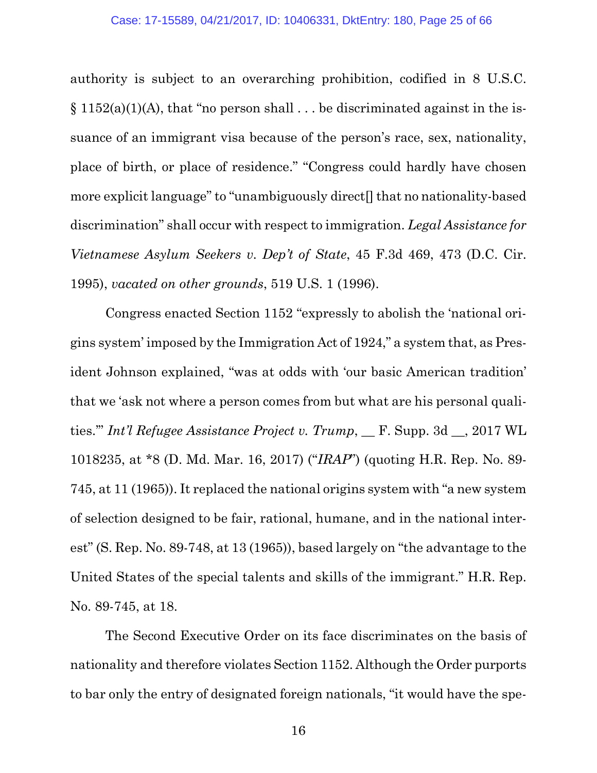authority is subject to an overarching prohibition, codified in 8 U.S.C.  $\S 1152(a)(1)(A)$ , that "no person shall ... be discriminated against in the issuance of an immigrant visa because of the person's race, sex, nationality, place of birth, or place of residence." "Congress could hardly have chosen more explicit language" to "unambiguously direct[] that no nationality-based discrimination" shall occur with respect to immigration. *Legal Assistance for Vietnamese Asylum Seekers v. Dep't of State*, 45 F.3d 469, 473 (D.C. Cir. 1995), *vacated on other grounds*, 519 U.S. 1 (1996).

Congress enacted Section 1152 "expressly to abolish the 'national origins system' imposed by the Immigration Act of 1924," a system that, as President Johnson explained, "was at odds with 'our basic American tradition' that we 'ask not where a person comes from but what are his personal qualities.'" *Int'l Refugee Assistance Project v. Trump*, \_\_ F. Supp. 3d \_\_, 2017 WL 1018235, at \*8 (D. Md. Mar. 16, 2017) ("*IRAP*") (quoting H.R. Rep. No. 89- 745, at 11 (1965)). It replaced the national origins system with "a new system of selection designed to be fair, rational, humane, and in the national interest" (S. Rep. No. 89-748, at 13 (1965)), based largely on "the advantage to the United States of the special talents and skills of the immigrant." H.R. Rep. No. 89-745, at 18.

The Second Executive Order on its face discriminates on the basis of nationality and therefore violates Section 1152. Although the Order purports to bar only the entry of designated foreign nationals, "it would have the spe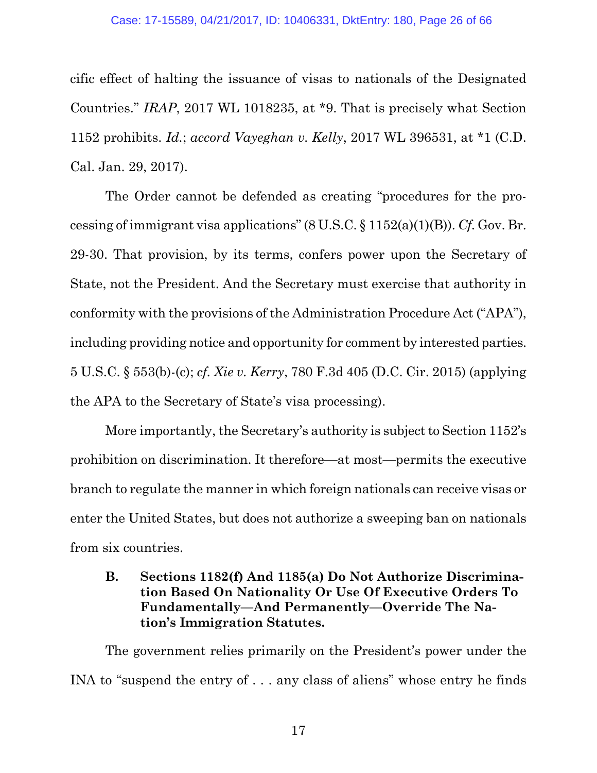cific effect of halting the issuance of visas to nationals of the Designated Countries." *IRAP*, 2017 WL 1018235, at \*9. That is precisely what Section 1152 prohibits. *Id.*; *accord Vayeghan v. Kelly*, 2017 WL 396531, at \*1 (C.D. Cal. Jan. 29, 2017).

The Order cannot be defended as creating "procedures for the processing of immigrant visa applications" (8 U.S.C. § 1152(a)(1)(B)). *Cf.* Gov. Br. 29-30. That provision, by its terms, confers power upon the Secretary of State, not the President. And the Secretary must exercise that authority in conformity with the provisions of the Administration Procedure Act ("APA"), including providing notice and opportunity for comment by interested parties. 5 U.S.C. § 553(b)-(c); *cf. Xie v. Kerry*, 780 F.3d 405 (D.C. Cir. 2015) (applying the APA to the Secretary of State's visa processing).

More importantly, the Secretary's authority is subject to Section 1152's prohibition on discrimination. It therefore—at most—permits the executive branch to regulate the manner in which foreign nationals can receive visas or enter the United States, but does not authorize a sweeping ban on nationals from six countries.

### **B. Sections 1182(f) And 1185(a) Do Not Authorize Discrimination Based On Nationality Or Use Of Executive Orders To Fundamentally—And Permanently—Override The Nation's Immigration Statutes.**

The government relies primarily on the President's power under the INA to "suspend the entry of . . . any class of aliens" whose entry he finds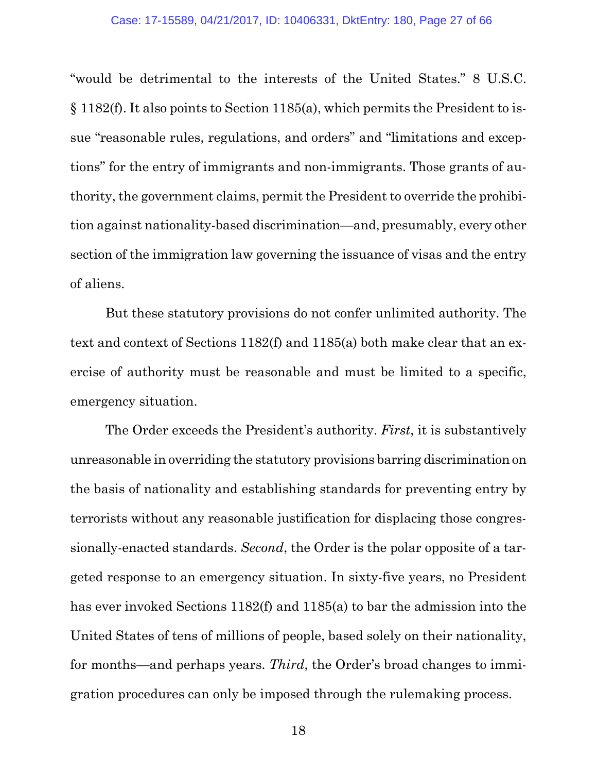"would be detrimental to the interests of the United States." 8 U.S.C. § 1182(f). It also points to Section 1185(a), which permits the President to issue "reasonable rules, regulations, and orders" and "limitations and exceptions" for the entry of immigrants and non-immigrants. Those grants of authority, the government claims, permit the President to override the prohibition against nationality-based discrimination—and, presumably, every other section of the immigration law governing the issuance of visas and the entry of aliens.

But these statutory provisions do not confer unlimited authority. The text and context of Sections 1182(f) and 1185(a) both make clear that an exercise of authority must be reasonable and must be limited to a specific, emergency situation.

The Order exceeds the President's authority. *First*, it is substantively unreasonable in overriding the statutory provisions barring discrimination on the basis of nationality and establishing standards for preventing entry by terrorists without any reasonable justification for displacing those congressionally-enacted standards. *Second*, the Order is the polar opposite of a targeted response to an emergency situation. In sixty-five years, no President has ever invoked Sections 1182(f) and 1185(a) to bar the admission into the United States of tens of millions of people, based solely on their nationality, for months—and perhaps years. *Third*, the Order's broad changes to immigration procedures can only be imposed through the rulemaking process.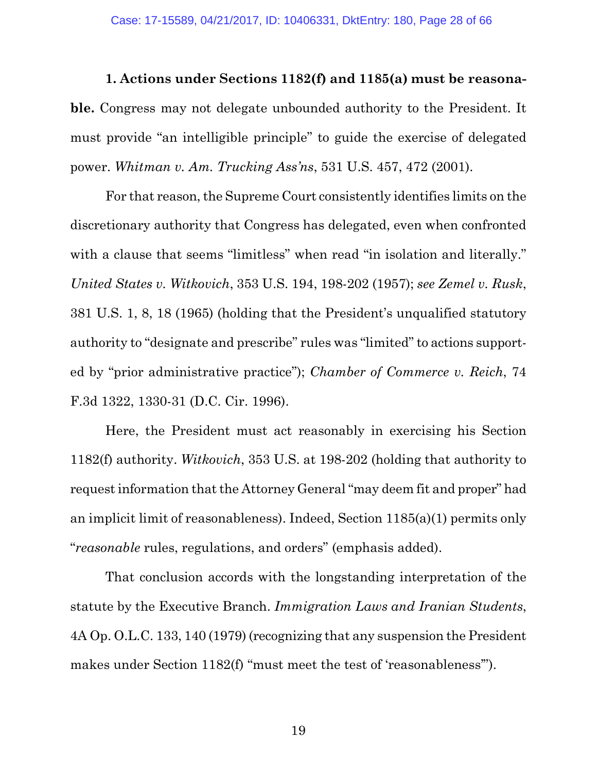**1. Actions under Sections 1182(f) and 1185(a) must be reasonable.** Congress may not delegate unbounded authority to the President. It must provide "an intelligible principle" to guide the exercise of delegated power. *Whitman v. Am. Trucking Ass'ns*, 531 U.S. 457, 472 (2001).

For that reason, the Supreme Court consistently identifies limits on the discretionary authority that Congress has delegated, even when confronted with a clause that seems "limitless" when read "in isolation and literally." *United States v. Witkovich*, 353 U.S. 194, 198-202 (1957); *see Zemel v. Rusk*, 381 U.S. 1, 8, 18 (1965) (holding that the President's unqualified statutory authority to "designate and prescribe" rules was "limited" to actions supported by "prior administrative practice"); *Chamber of Commerce v. Reich*, 74 F.3d 1322, 1330-31 (D.C. Cir. 1996).

Here, the President must act reasonably in exercising his Section 1182(f) authority. *Witkovich*, 353 U.S. at 198-202 (holding that authority to request information that the Attorney General "may deem fit and proper" had an implicit limit of reasonableness). Indeed, Section 1185(a)(1) permits only "*reasonable* rules, regulations, and orders" (emphasis added).

That conclusion accords with the longstanding interpretation of the statute by the Executive Branch. *Immigration Laws and Iranian Students*, 4A Op. O.L.C. 133, 140 (1979) (recognizing that any suspension the President makes under Section 1182(f) "must meet the test of 'reasonableness'").

19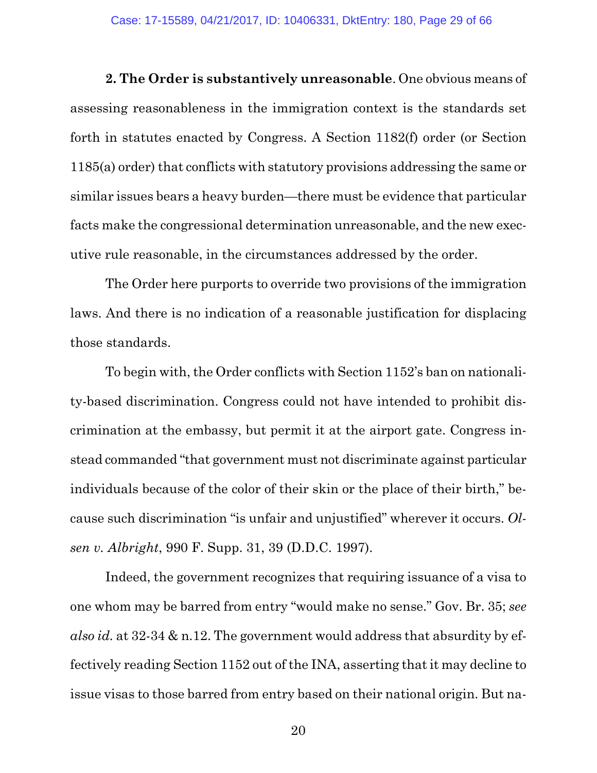**2. The Order is substantively unreasonable**. One obvious means of assessing reasonableness in the immigration context is the standards set forth in statutes enacted by Congress. A Section 1182(f) order (or Section 1185(a) order) that conflicts with statutory provisions addressing the same or similar issues bears a heavy burden—there must be evidence that particular facts make the congressional determination unreasonable, and the new executive rule reasonable, in the circumstances addressed by the order.

The Order here purports to override two provisions of the immigration laws. And there is no indication of a reasonable justification for displacing those standards.

To begin with, the Order conflicts with Section 1152's ban on nationality-based discrimination. Congress could not have intended to prohibit discrimination at the embassy, but permit it at the airport gate. Congress instead commanded "that government must not discriminate against particular individuals because of the color of their skin or the place of their birth," because such discrimination "is unfair and unjustified" wherever it occurs. *Olsen v. Albright*, 990 F. Supp. 31, 39 (D.D.C. 1997).

Indeed, the government recognizes that requiring issuance of a visa to one whom may be barred from entry "would make no sense." Gov. Br. 35; *see also id.* at 32-34 & n.12. The government would address that absurdity by effectively reading Section 1152 out of the INA, asserting that it may decline to issue visas to those barred from entry based on their national origin. But na-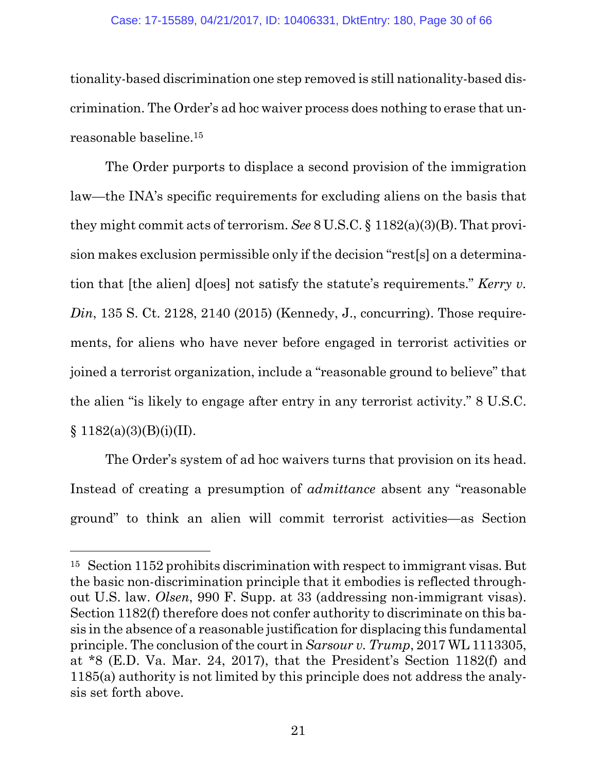tionality-based discrimination one step removed is still nationality-based discrimination. The Order's ad hoc waiver process does nothing to erase that unreasonable baseline.<sup>15</sup>

The Order purports to displace a second provision of the immigration law—the INA's specific requirements for excluding aliens on the basis that they might commit acts of terrorism. *See* 8 U.S.C. § 1182(a)(3)(B). That provision makes exclusion permissible only if the decision "rest[s] on a determination that [the alien] d[oes] not satisfy the statute's requirements." *Kerry v. Din*, 135 S. Ct. 2128, 2140 (2015) (Kennedy, J., concurring). Those requirements, for aliens who have never before engaged in terrorist activities or joined a terrorist organization, include a "reasonable ground to believe" that the alien "is likely to engage after entry in any terrorist activity." 8 U.S.C.  $§ 1182(a)(3)(B)(i)(II).$ 

The Order's system of ad hoc waivers turns that provision on its head. Instead of creating a presumption of *admittance* absent any "reasonable ground" to think an alien will commit terrorist activities—as Section

<sup>15</sup> Section 1152 prohibits discrimination with respect to immigrant visas. But the basic non-discrimination principle that it embodies is reflected throughout U.S. law. *Olsen*, 990 F. Supp. at 33 (addressing non-immigrant visas). Section 1182(f) therefore does not confer authority to discriminate on this basis in the absence of a reasonable justification for displacing this fundamental principle. The conclusion of the court in *Sarsour v. Trump*, 2017 WL 1113305, at \*8 (E.D. Va. Mar. 24, 2017), that the President's Section 1182(f) and 1185(a) authority is not limited by this principle does not address the analysis set forth above.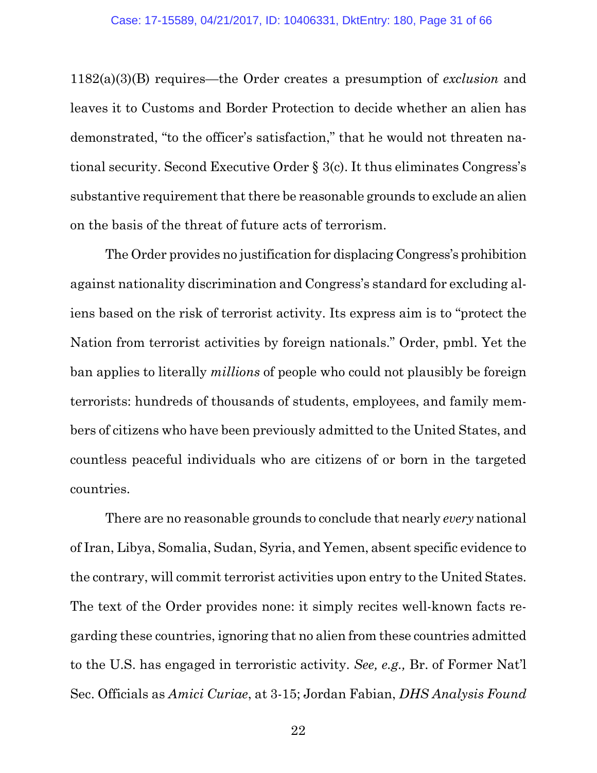1182(a)(3)(B) requires—the Order creates a presumption of *exclusion* and leaves it to Customs and Border Protection to decide whether an alien has demonstrated, "to the officer's satisfaction," that he would not threaten national security. Second Executive Order § 3(c). It thus eliminates Congress's substantive requirement that there be reasonable grounds to exclude an alien on the basis of the threat of future acts of terrorism.

The Order provides no justification for displacing Congress's prohibition against nationality discrimination and Congress's standard for excluding aliens based on the risk of terrorist activity. Its express aim is to "protect the Nation from terrorist activities by foreign nationals." Order, pmbl. Yet the ban applies to literally *millions* of people who could not plausibly be foreign terrorists: hundreds of thousands of students, employees, and family members of citizens who have been previously admitted to the United States, and countless peaceful individuals who are citizens of or born in the targeted countries.

There are no reasonable grounds to conclude that nearly *every* national of Iran, Libya, Somalia, Sudan, Syria, and Yemen, absent specific evidence to the contrary, will commit terrorist activities upon entry to the United States. The text of the Order provides none: it simply recites well-known facts regarding these countries, ignoring that no alien from these countries admitted to the U.S. has engaged in terroristic activity. *See, e.g.,* Br. of Former Nat'l Sec. Officials as *Amici Curiae*, at 3-15; Jordan Fabian, *DHS Analysis Found*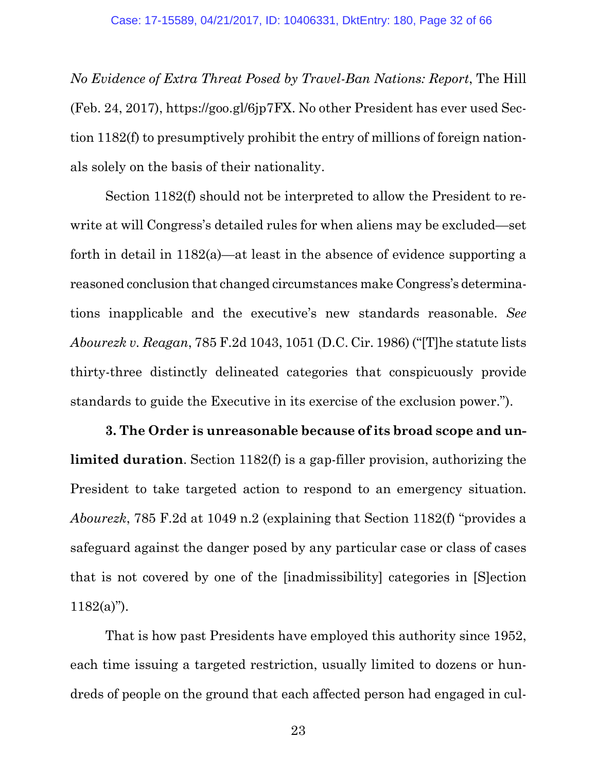*No Evidence of Extra Threat Posed by Travel-Ban Nations: Report*, The Hill (Feb. 24, 2017), https://goo.gl/6jp7FX. No other President has ever used Section 1182(f) to presumptively prohibit the entry of millions of foreign nationals solely on the basis of their nationality.

Section 1182(f) should not be interpreted to allow the President to rewrite at will Congress's detailed rules for when aliens may be excluded—set forth in detail in 1182(a)—at least in the absence of evidence supporting a reasoned conclusion that changed circumstances make Congress's determinations inapplicable and the executive's new standards reasonable. *See Abourezk v. Reagan*, 785 F.2d 1043, 1051 (D.C. Cir. 1986) ("[T]he statute lists thirty-three distinctly delineated categories that conspicuously provide standards to guide the Executive in its exercise of the exclusion power.").

**3. The Order is unreasonable because of its broad scope and unlimited duration**. Section 1182(f) is a gap-filler provision, authorizing the President to take targeted action to respond to an emergency situation. *Abourezk*, 785 F.2d at 1049 n.2 (explaining that Section 1182(f) "provides a safeguard against the danger posed by any particular case or class of cases that is not covered by one of the [inadmissibility] categories in [S]ection  $1182(a)$ ").

That is how past Presidents have employed this authority since 1952, each time issuing a targeted restriction, usually limited to dozens or hundreds of people on the ground that each affected person had engaged in cul-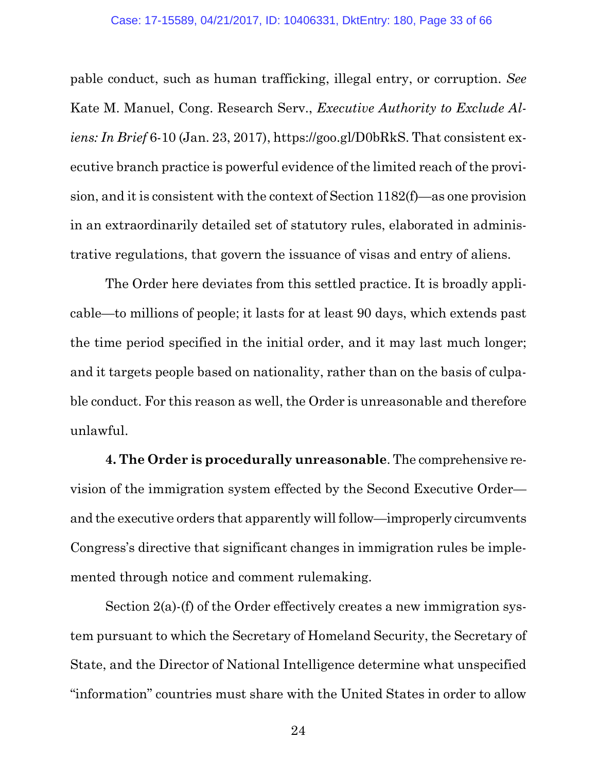pable conduct, such as human trafficking, illegal entry, or corruption. *See* Kate M. Manuel, Cong. Research Serv., *Executive Authority to Exclude Aliens: In Brief* 6-10 (Jan. 23, 2017), https://goo.gl/D0bRkS. That consistent executive branch practice is powerful evidence of the limited reach of the provision, and it is consistent with the context of Section 1182(f)—as one provision in an extraordinarily detailed set of statutory rules, elaborated in administrative regulations, that govern the issuance of visas and entry of aliens.

The Order here deviates from this settled practice. It is broadly applicable—to millions of people; it lasts for at least 90 days, which extends past the time period specified in the initial order, and it may last much longer; and it targets people based on nationality, rather than on the basis of culpable conduct. For this reason as well, the Order is unreasonable and therefore unlawful.

**4. The Order is procedurally unreasonable**. The comprehensive revision of the immigration system effected by the Second Executive Order and the executive orders that apparently will follow—improperly circumvents Congress's directive that significant changes in immigration rules be implemented through notice and comment rulemaking.

Section 2(a)-(f) of the Order effectively creates a new immigration system pursuant to which the Secretary of Homeland Security, the Secretary of State, and the Director of National Intelligence determine what unspecified "information" countries must share with the United States in order to allow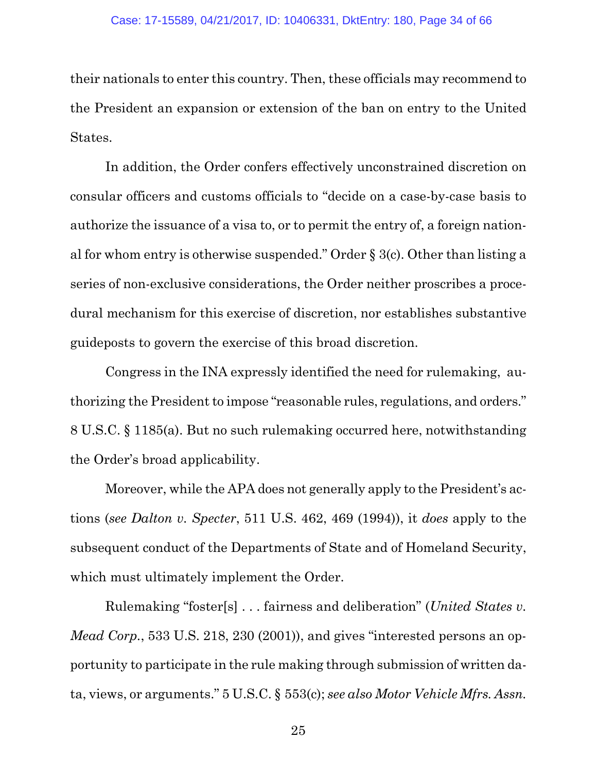their nationals to enter this country. Then, these officials may recommend to the President an expansion or extension of the ban on entry to the United States.

In addition, the Order confers effectively unconstrained discretion on consular officers and customs officials to "decide on a case-by-case basis to authorize the issuance of a visa to, or to permit the entry of, a foreign national for whom entry is otherwise suspended." Order § 3(c). Other than listing a series of non-exclusive considerations, the Order neither proscribes a procedural mechanism for this exercise of discretion, nor establishes substantive guideposts to govern the exercise of this broad discretion.

Congress in the INA expressly identified the need for rulemaking, authorizing the President to impose "reasonable rules, regulations, and orders." 8 U.S.C. § 1185(a). But no such rulemaking occurred here, notwithstanding the Order's broad applicability.

Moreover, while the APA does not generally apply to the President's actions (*see Dalton v. Specter*, 511 U.S. 462, 469 (1994)), it *does* apply to the subsequent conduct of the Departments of State and of Homeland Security, which must ultimately implement the Order.

Rulemaking "foster[s] . . . fairness and deliberation" (*United States v. Mead Corp.*, 533 U.S. 218, 230 (2001)), and gives "interested persons an opportunity to participate in the rule making through submission of written data, views, or arguments." 5 U.S.C. § 553(c); *see also Motor Vehicle Mfrs. Assn.*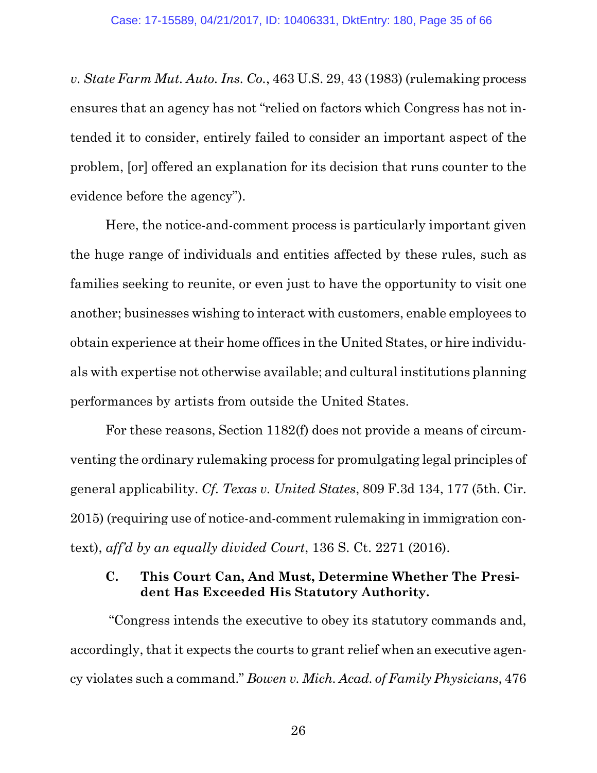*v. State Farm Mut. Auto. Ins. Co.*, 463 U.S. 29, 43 (1983) (rulemaking process ensures that an agency has not "relied on factors which Congress has not intended it to consider, entirely failed to consider an important aspect of the problem, [or] offered an explanation for its decision that runs counter to the evidence before the agency").

Here, the notice-and-comment process is particularly important given the huge range of individuals and entities affected by these rules, such as families seeking to reunite, or even just to have the opportunity to visit one another; businesses wishing to interact with customers, enable employees to obtain experience at their home offices in the United States, or hire individuals with expertise not otherwise available; and cultural institutions planning performances by artists from outside the United States.

For these reasons, Section 1182(f) does not provide a means of circumventing the ordinary rulemaking process for promulgating legal principles of general applicability. *Cf. Texas v. United States*, 809 F.3d 134, 177 (5th. Cir. 2015) (requiring use of notice-and-comment rulemaking in immigration context), *aff'd by an equally divided Court*, 136 S. Ct. 2271 (2016).

### **C. This Court Can, And Must, Determine Whether The President Has Exceeded His Statutory Authority.**

"Congress intends the executive to obey its statutory commands and, accordingly, that it expects the courts to grant relief when an executive agency violates such a command." *Bowen v. Mich. Acad. of Family Physicians*, 476

26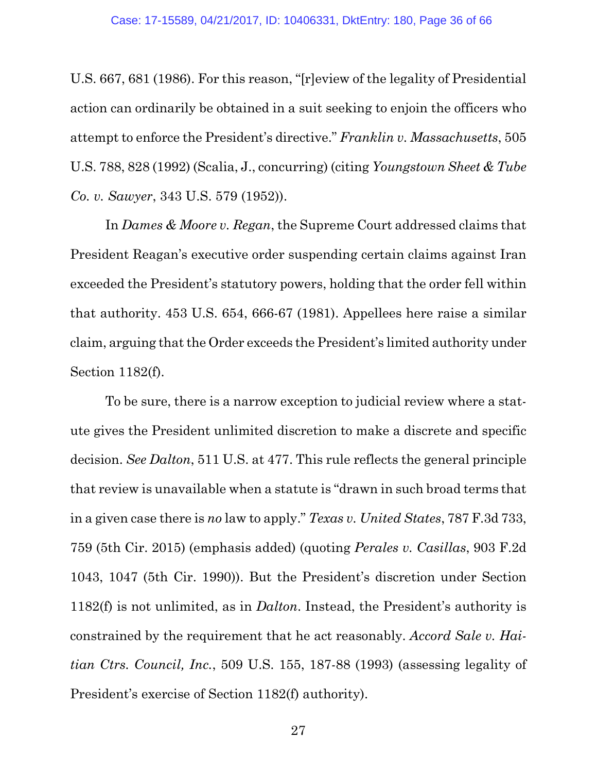U.S. 667, 681 (1986). For this reason, "[r]eview of the legality of Presidential action can ordinarily be obtained in a suit seeking to enjoin the officers who attempt to enforce the President's directive." *Franklin v. Massachusetts*, 505 U.S. 788, 828 (1992) (Scalia, J., concurring) (citing *Youngstown Sheet & Tube Co. v. Sawyer*, 343 U.S. 579 (1952)).

In *Dames & Moore v. Regan*, the Supreme Court addressed claims that President Reagan's executive order suspending certain claims against Iran exceeded the President's statutory powers, holding that the order fell within that authority. 453 U.S. 654, 666-67 (1981). Appellees here raise a similar claim, arguing that the Order exceeds the President's limited authority under Section 1182(f).

To be sure, there is a narrow exception to judicial review where a statute gives the President unlimited discretion to make a discrete and specific decision. *See Dalton*, 511 U.S. at 477. This rule reflects the general principle that review is unavailable when a statute is "drawn in such broad terms that in a given case there is *no* law to apply." *Texas v. United States*, 787 F.3d 733, 759 (5th Cir. 2015) (emphasis added) (quoting *Perales v. Casillas*, 903 F.2d 1043, 1047 (5th Cir. 1990)). But the President's discretion under Section 1182(f) is not unlimited, as in *Dalton*. Instead, the President's authority is constrained by the requirement that he act reasonably. *Accord Sale v. Haitian Ctrs. Council, Inc.*, 509 U.S. 155, 187-88 (1993) (assessing legality of President's exercise of Section 1182(f) authority).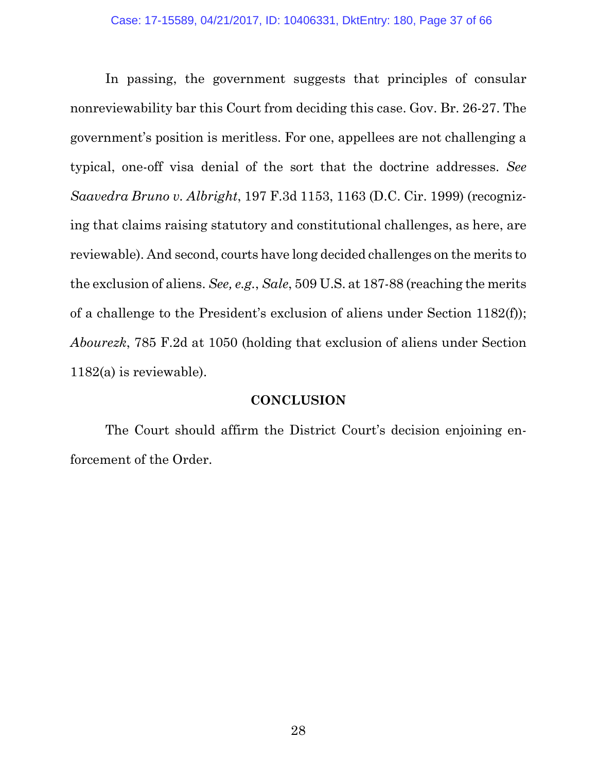In passing, the government suggests that principles of consular nonreviewability bar this Court from deciding this case. Gov. Br. 26-27. The government's position is meritless. For one, appellees are not challenging a typical, one-off visa denial of the sort that the doctrine addresses. *See Saavedra Bruno v. Albright*, 197 F.3d 1153, 1163 (D.C. Cir. 1999) (recognizing that claims raising statutory and constitutional challenges, as here, are reviewable). And second, courts have long decided challenges on the merits to the exclusion of aliens. *See, e.g.*, *Sale*, 509 U.S. at 187-88 (reaching the merits of a challenge to the President's exclusion of aliens under Section 1182(f)); *Abourezk*, 785 F.2d at 1050 (holding that exclusion of aliens under Section 1182(a) is reviewable).

#### **CONCLUSION**

The Court should affirm the District Court's decision enjoining enforcement of the Order.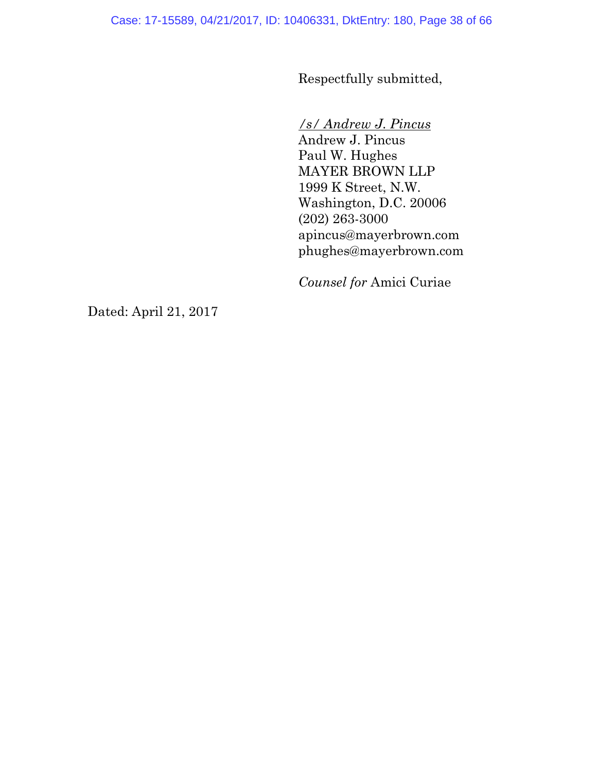Respectfully submitted,

### */s/ Andrew J. Pincus*

Andrew J. Pincus Paul W. Hughes MAYER BROWN LLP 1999 K Street, N.W. Washington, D.C. 20006 (202) 263-3000 apincus@mayerbrown.com phughes@mayerbrown.com

*Counsel for* Amici Curiae

Dated: April 21, 2017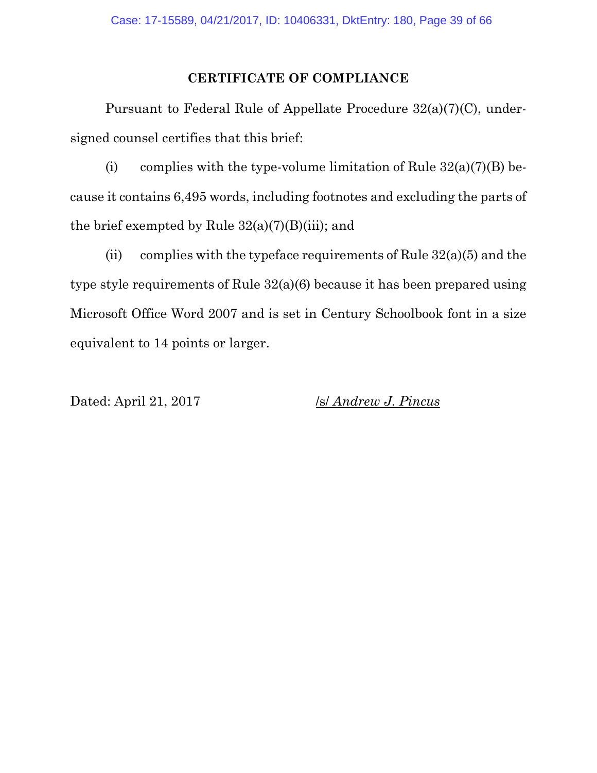#### **CERTIFICATE OF COMPLIANCE**

Pursuant to Federal Rule of Appellate Procedure 32(a)(7)(C), undersigned counsel certifies that this brief:

(i) complies with the type-volume limitation of Rule  $32(a)(7)(B)$  because it contains 6,495 words, including footnotes and excluding the parts of the brief exempted by Rule  $32(a)(7)(B)(iii)$ ; and

(ii) complies with the typeface requirements of Rule  $32(a)(5)$  and the type style requirements of Rule 32(a)(6) because it has been prepared using Microsoft Office Word 2007 and is set in Century Schoolbook font in a size equivalent to 14 points or larger.

Dated: April 21, 2017 /s/ *Andrew J. Pincus*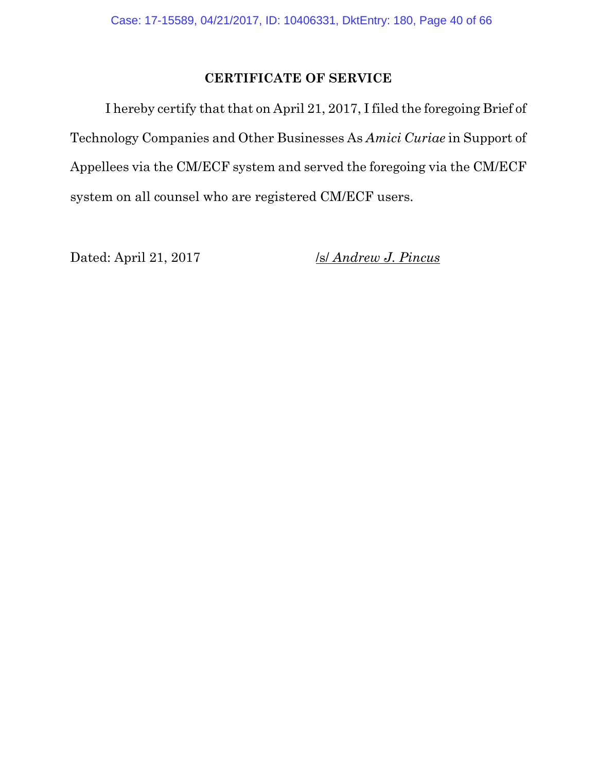#### **CERTIFICATE OF SERVICE**

I hereby certify that that on April 21, 2017, I filed the foregoing Brief of Technology Companies and Other Businesses As *Amici Curiae* in Support of Appellees via the CM/ECF system and served the foregoing via the CM/ECF system on all counsel who are registered CM/ECF users.

Dated: April 21, 2017 /s/ *Andrew J. Pincus*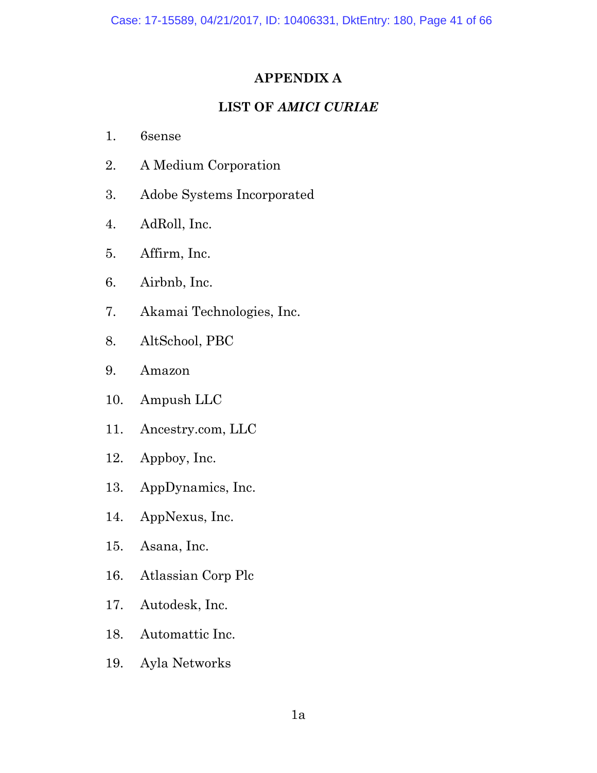### **APPENDIX A**

### **LIST OF** *AMICI CURIAE*

- 1. 6sense
- 2. A Medium Corporation
- 3. Adobe Systems Incorporated
- 4. AdRoll, Inc.
- 5. Affirm, Inc.
- 6. Airbnb, Inc.
- 7. Akamai Technologies, Inc.
- 8. AltSchool, PBC
- 9. Amazon
- 10. Ampush LLC
- 11. Ancestry.com, LLC
- 12. Appboy, Inc.
- 13. AppDynamics, Inc.
- 14. AppNexus, Inc.
- 15. Asana, Inc.
- 16. Atlassian Corp Plc
- 17. Autodesk, Inc.
- 18. Automattic Inc.
- 19. Ayla Networks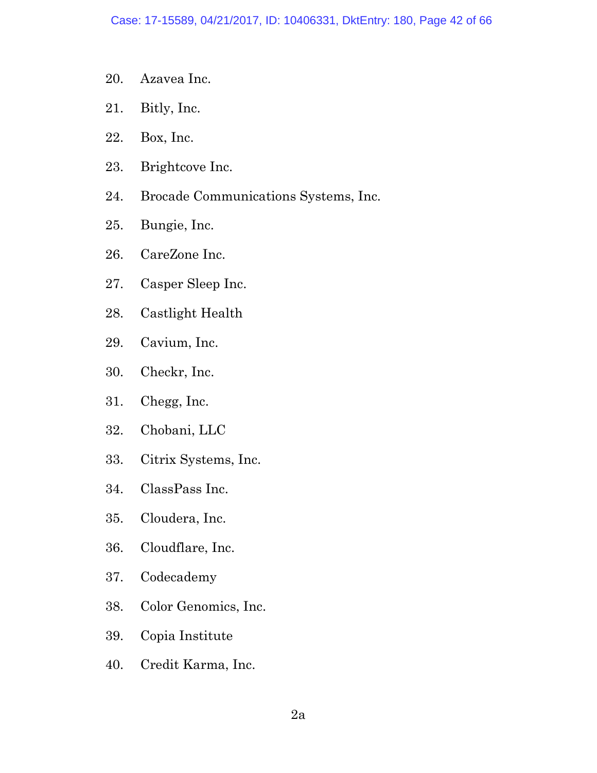- 20. Azavea Inc.
- 21. Bitly, Inc.
- 22. Box, Inc.
- 23. Brightcove Inc.
- 24. Brocade Communications Systems, Inc.
- 25. Bungie, Inc.
- 26. CareZone Inc.
- 27. Casper Sleep Inc.
- 28. Castlight Health
- 29. Cavium, Inc.
- 30. Checkr, Inc.
- 31. Chegg, Inc.
- 32. Chobani, LLC
- 33. Citrix Systems, Inc.
- 34. ClassPass Inc.
- 35. Cloudera, Inc.
- 36. Cloudflare, Inc.
- 37. Codecademy
- 38. Color Genomics, Inc.
- 39. Copia Institute
- 40. Credit Karma, Inc.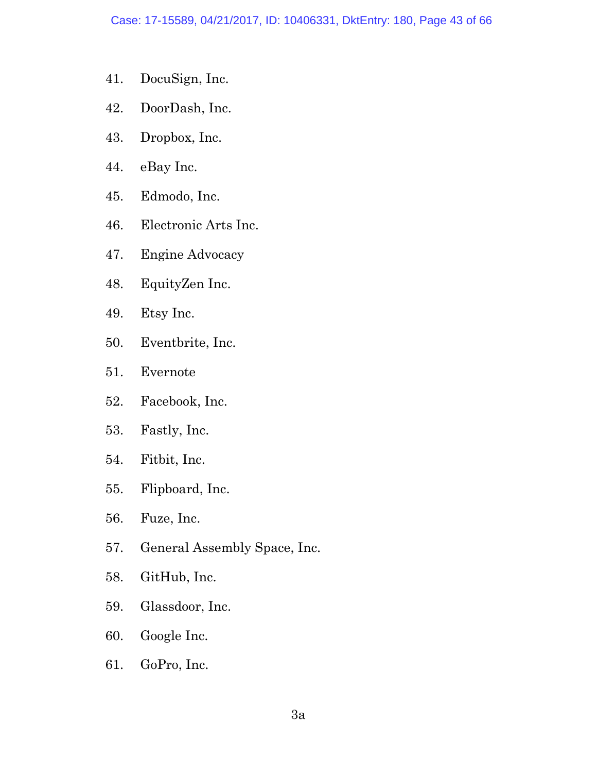- 41. DocuSign, Inc.
- 42. DoorDash, Inc.
- 43. Dropbox, Inc.
- 44. eBay Inc.
- 45. Edmodo, Inc.
- 46. Electronic Arts Inc.
- 47. Engine Advocacy
- 48. EquityZen Inc.
- 49. Etsy Inc.
- 50. Eventbrite, Inc.
- 51. Evernote
- 52. Facebook, Inc.
- 53. Fastly, Inc.
- 54. Fitbit, Inc.
- 55. Flipboard, Inc.
- 56. Fuze, Inc.
- 57. General Assembly Space, Inc.
- 58. GitHub, Inc.
- 59. Glassdoor, Inc.
- 60. Google Inc.
- 61. GoPro, Inc.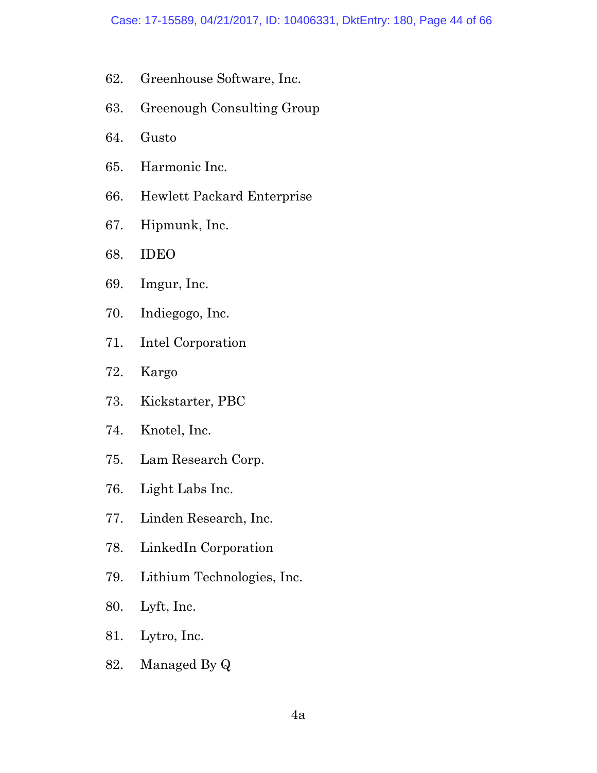- 62. Greenhouse Software, Inc.
- 63. Greenough Consulting Group
- 64. Gusto
- 65. Harmonic Inc.
- 66. Hewlett Packard Enterprise
- 67. Hipmunk, Inc.
- 68. IDEO
- 69. Imgur, Inc.
- 70. Indiegogo, Inc.
- 71. Intel Corporation
- 72. Kargo
- 73. Kickstarter, PBC
- 74. Knotel, Inc.
- 75. Lam Research Corp.
- 76. Light Labs Inc.
- 77. Linden Research, Inc.
- 78. LinkedIn Corporation
- 79. Lithium Technologies, Inc.
- 80. Lyft, Inc.
- 81. Lytro, Inc.
- 82. Managed By Q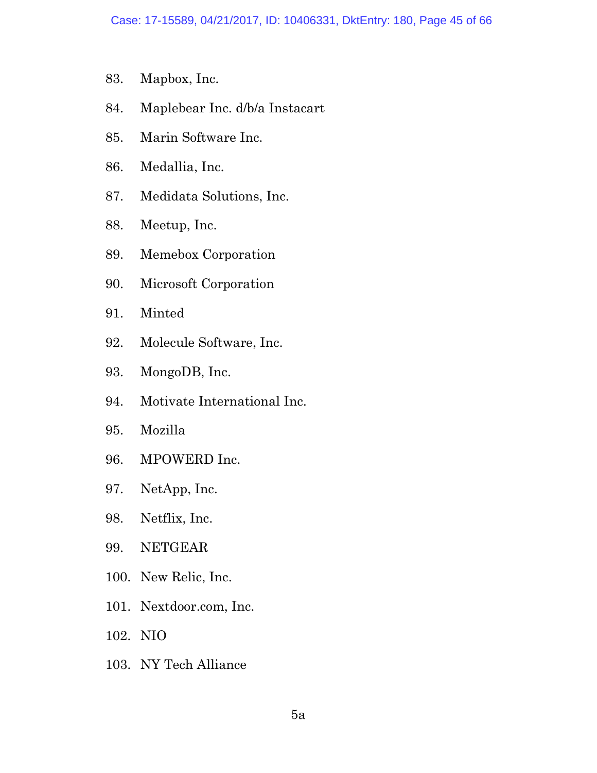- 83. Mapbox, Inc.
- 84. Maplebear Inc. d/b/a Instacart
- 85. Marin Software Inc.
- 86. Medallia, Inc.
- 87. Medidata Solutions, Inc.
- 88. Meetup, Inc.
- 89. Memebox Corporation
- 90. Microsoft Corporation
- 91. Minted
- 92. Molecule Software, Inc.
- 93. MongoDB, Inc.
- 94. Motivate International Inc.
- 95. Mozilla
- 96. MPOWERD Inc.
- 97. NetApp, Inc.
- 98. Netflix, Inc.
- 99. NETGEAR
- 100. New Relic, Inc.
- 101. Nextdoor.com, Inc.
- 102. NIO
- 103. NY Tech Alliance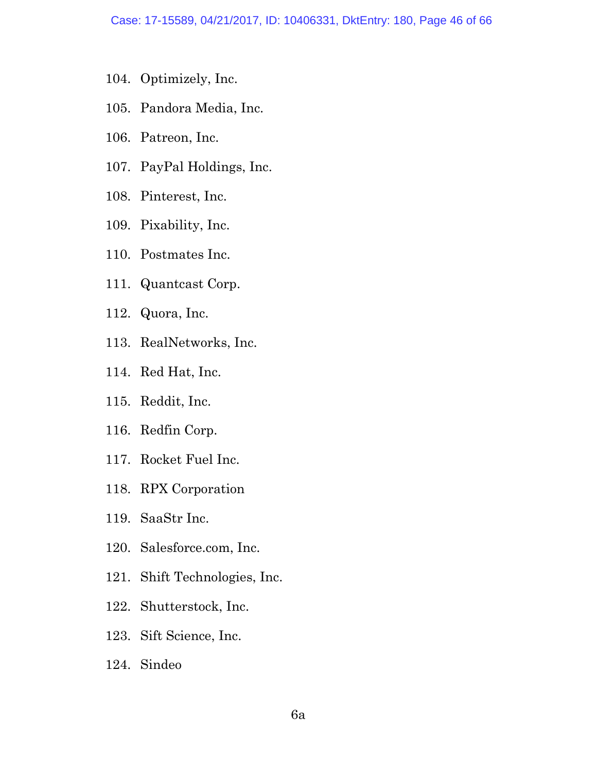- 104. Optimizely, Inc.
- 105. Pandora Media, Inc.
- 106. Patreon, Inc.
- 107. PayPal Holdings, Inc.
- 108. Pinterest, Inc.
- 109. Pixability, Inc.
- 110. Postmates Inc.
- 111. Quantcast Corp.
- 112. Quora, Inc.
- 113. RealNetworks, Inc.
- 114. Red Hat, Inc.
- 115. Reddit, Inc.
- 116. Redfin Corp.
- 117. Rocket Fuel Inc.
- 118. RPX Corporation
- 119. SaaStr Inc.
- 120. Salesforce.com, Inc.
- 121. Shift Technologies, Inc.
- 122. Shutterstock, Inc.
- 123. Sift Science, Inc.
- 124. Sindeo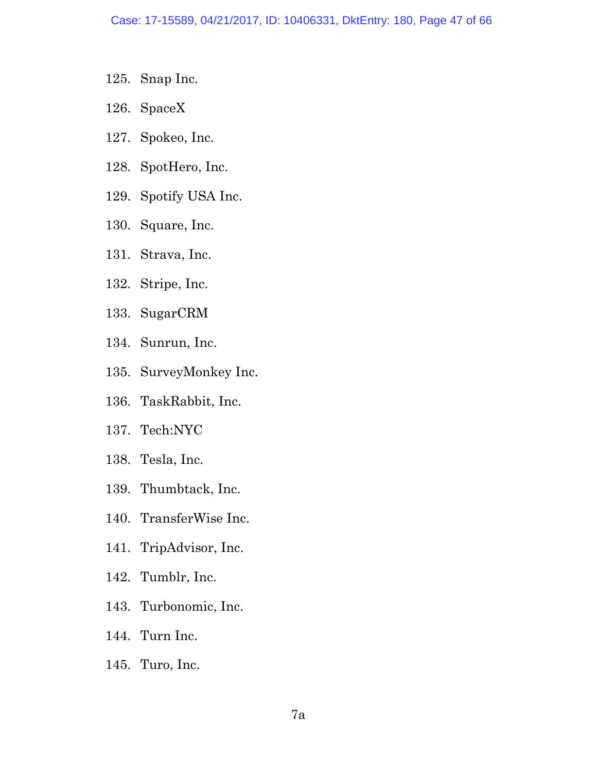- 125. Snap Inc.
- 126. SpaceX
- 127. Spokeo, Inc.
- 128. SpotHero, Inc.
- 129. Spotify USA Inc.
- 130. Square, Inc.
- 131. Strava, Inc.
- 132. Stripe, Inc.
- 133. SugarCRM
- 134. Sunrun, Inc.
- 135. SurveyMonkey Inc.
- 136. TaskRabbit, Inc.
- 137. Tech:NYC
- 138. Tesla, Inc.
- 139. Thumbtack, Inc.
- 140. TransferWise Inc.
- 141. TripAdvisor, Inc.
- 142. Tumblr, Inc.
- 143. Turbonomic, Inc.
- 144. Turn Inc.
- 145. Turo, Inc.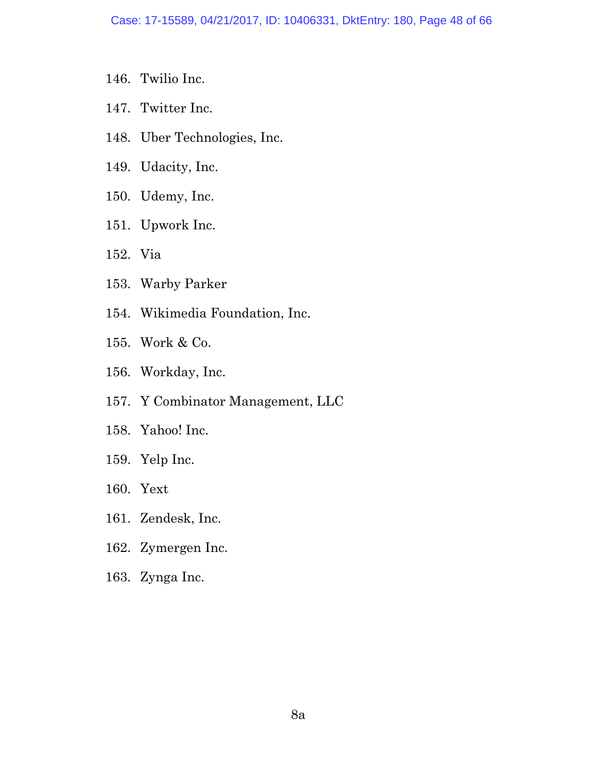- 146. Twilio Inc.
- 147. Twitter Inc.
- 148. Uber Technologies, Inc.
- 149. Udacity, Inc.
- 150. Udemy, Inc.
- 151. Upwork Inc.
- 152. Via
- 153. Warby Parker
- 154. Wikimedia Foundation, Inc.
- 155. Work & Co.
- 156. Workday, Inc.
- 157. Y Combinator Management, LLC
- 158. Yahoo! Inc.
- 159. Yelp Inc.
- 160. Yext
- 161. Zendesk, Inc.
- 162. Zymergen Inc.
- 163. Zynga Inc.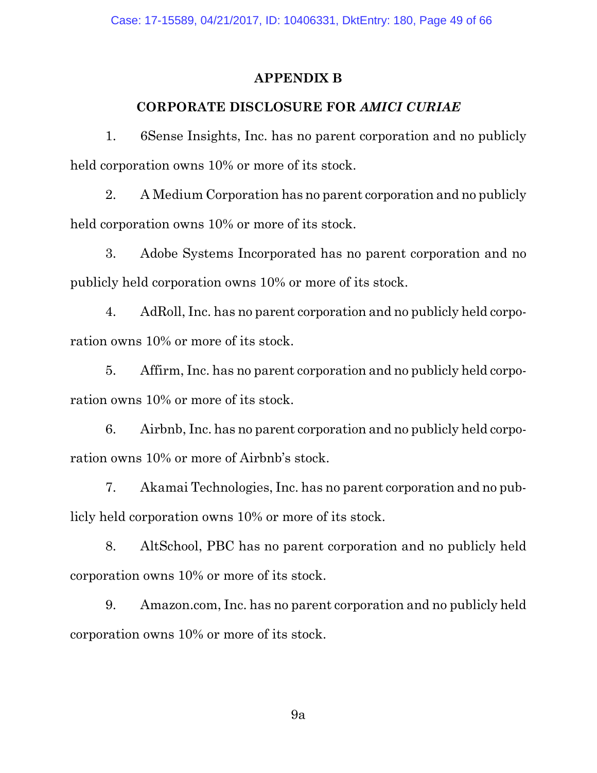#### **APPENDIX B**

#### **CORPORATE DISCLOSURE FOR** *AMICI CURIAE*

1. 6Sense Insights, Inc. has no parent corporation and no publicly held corporation owns 10% or more of its stock.

2. A Medium Corporation has no parent corporation and no publicly held corporation owns 10% or more of its stock.

3. Adobe Systems Incorporated has no parent corporation and no publicly held corporation owns 10% or more of its stock.

4. AdRoll, Inc. has no parent corporation and no publicly held corporation owns 10% or more of its stock.

5. Affirm, Inc. has no parent corporation and no publicly held corporation owns 10% or more of its stock.

6. Airbnb, Inc. has no parent corporation and no publicly held corporation owns 10% or more of Airbnb's stock.

7. Akamai Technologies, Inc. has no parent corporation and no publicly held corporation owns 10% or more of its stock.

8. AltSchool, PBC has no parent corporation and no publicly held corporation owns 10% or more of its stock.

9. Amazon.com, Inc. has no parent corporation and no publicly held corporation owns 10% or more of its stock.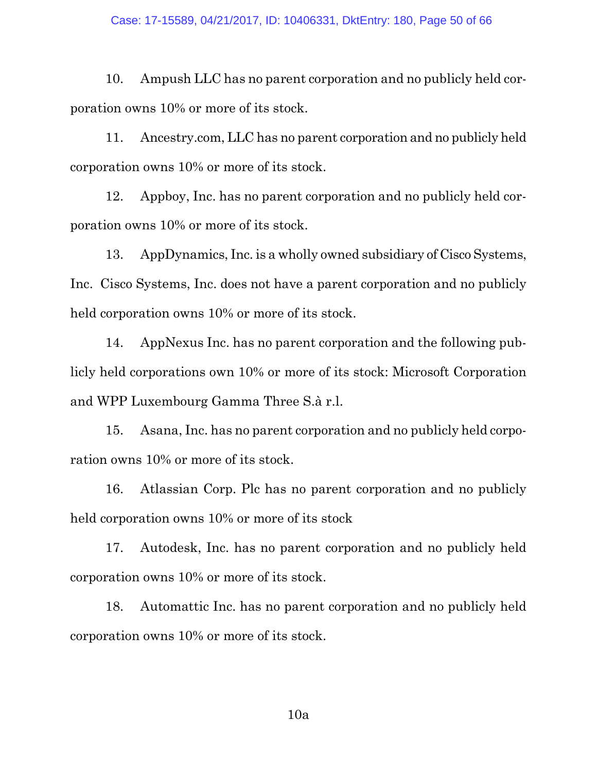10. Ampush LLC has no parent corporation and no publicly held corporation owns 10% or more of its stock.

11. Ancestry.com, LLC has no parent corporation and no publicly held corporation owns 10% or more of its stock.

12. Appboy, Inc. has no parent corporation and no publicly held corporation owns 10% or more of its stock.

13. AppDynamics, Inc. is a wholly owned subsidiary of Cisco Systems, Inc. Cisco Systems, Inc. does not have a parent corporation and no publicly held corporation owns 10% or more of its stock.

14. AppNexus Inc. has no parent corporation and the following publicly held corporations own 10% or more of its stock: Microsoft Corporation and WPP Luxembourg Gamma Three S.à r.l.

15. Asana, Inc. has no parent corporation and no publicly held corporation owns 10% or more of its stock.

16. Atlassian Corp. Plc has no parent corporation and no publicly held corporation owns 10% or more of its stock

17. Autodesk, Inc. has no parent corporation and no publicly held corporation owns 10% or more of its stock.

18. Automattic Inc. has no parent corporation and no publicly held corporation owns 10% or more of its stock.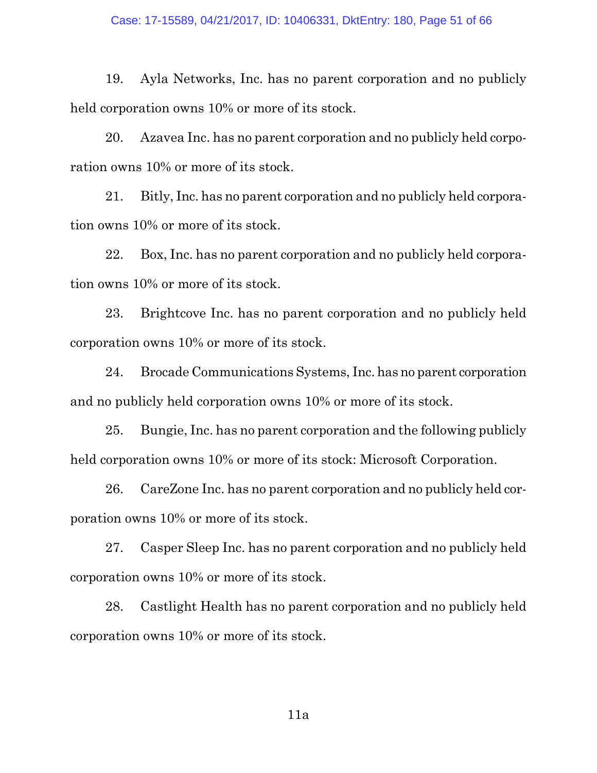#### Case: 17-15589, 04/21/2017, ID: 10406331, DktEntry: 180, Page 51 of 66

19. Ayla Networks, Inc. has no parent corporation and no publicly held corporation owns 10% or more of its stock.

20. Azavea Inc. has no parent corporation and no publicly held corporation owns 10% or more of its stock.

21. Bitly, Inc. has no parent corporation and no publicly held corporation owns 10% or more of its stock.

22. Box, Inc. has no parent corporation and no publicly held corporation owns 10% or more of its stock.

23. Brightcove Inc. has no parent corporation and no publicly held corporation owns 10% or more of its stock.

24. Brocade Communications Systems, Inc. has no parent corporation and no publicly held corporation owns 10% or more of its stock.

25. Bungie, Inc. has no parent corporation and the following publicly held corporation owns 10% or more of its stock: Microsoft Corporation.

26. CareZone Inc. has no parent corporation and no publicly held corporation owns 10% or more of its stock.

27. Casper Sleep Inc. has no parent corporation and no publicly held corporation owns 10% or more of its stock.

28. Castlight Health has no parent corporation and no publicly held corporation owns 10% or more of its stock.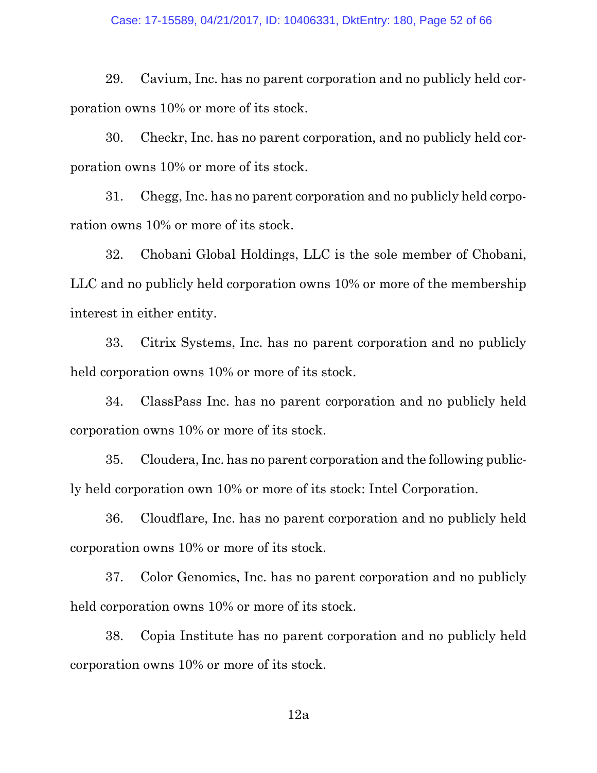29. Cavium, Inc. has no parent corporation and no publicly held corporation owns 10% or more of its stock.

30. Checkr, Inc. has no parent corporation, and no publicly held corporation owns 10% or more of its stock.

31. Chegg, Inc. has no parent corporation and no publicly held corporation owns 10% or more of its stock.

32. Chobani Global Holdings, LLC is the sole member of Chobani, LLC and no publicly held corporation owns 10% or more of the membership interest in either entity.

33. Citrix Systems, Inc. has no parent corporation and no publicly held corporation owns 10% or more of its stock.

34. ClassPass Inc. has no parent corporation and no publicly held corporation owns 10% or more of its stock.

35. Cloudera, Inc. has no parent corporation and the following publicly held corporation own 10% or more of its stock: Intel Corporation.

36. Cloudflare, Inc. has no parent corporation and no publicly held corporation owns 10% or more of its stock.

37. Color Genomics, Inc. has no parent corporation and no publicly held corporation owns 10% or more of its stock.

38. Copia Institute has no parent corporation and no publicly held corporation owns 10% or more of its stock.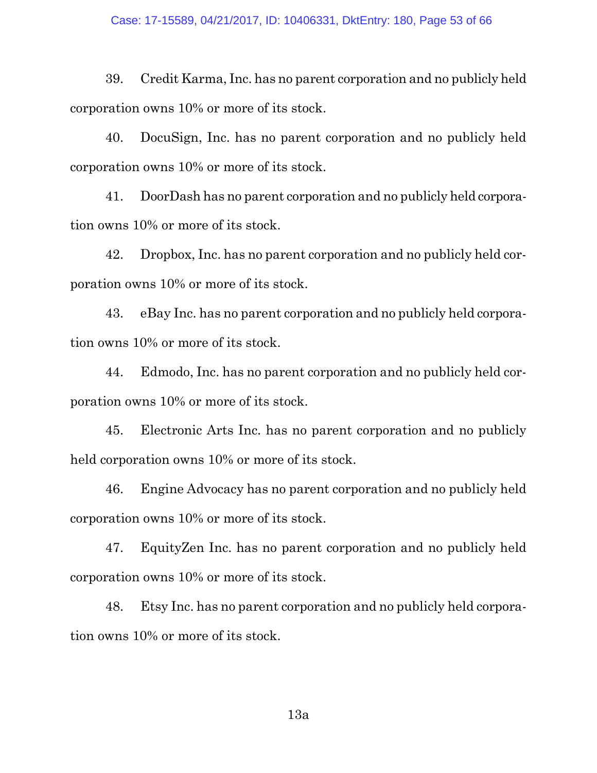39. Credit Karma, Inc. has no parent corporation and no publicly held corporation owns 10% or more of its stock.

40. DocuSign, Inc. has no parent corporation and no publicly held corporation owns 10% or more of its stock.

41. DoorDash has no parent corporation and no publicly held corporation owns 10% or more of its stock.

42. Dropbox, Inc. has no parent corporation and no publicly held corporation owns 10% or more of its stock.

43. eBay Inc. has no parent corporation and no publicly held corporation owns 10% or more of its stock.

44. Edmodo, Inc. has no parent corporation and no publicly held corporation owns 10% or more of its stock.

45. Electronic Arts Inc. has no parent corporation and no publicly held corporation owns 10% or more of its stock.

46. Engine Advocacy has no parent corporation and no publicly held corporation owns 10% or more of its stock.

47. EquityZen Inc. has no parent corporation and no publicly held corporation owns 10% or more of its stock.

48. Etsy Inc. has no parent corporation and no publicly held corporation owns 10% or more of its stock.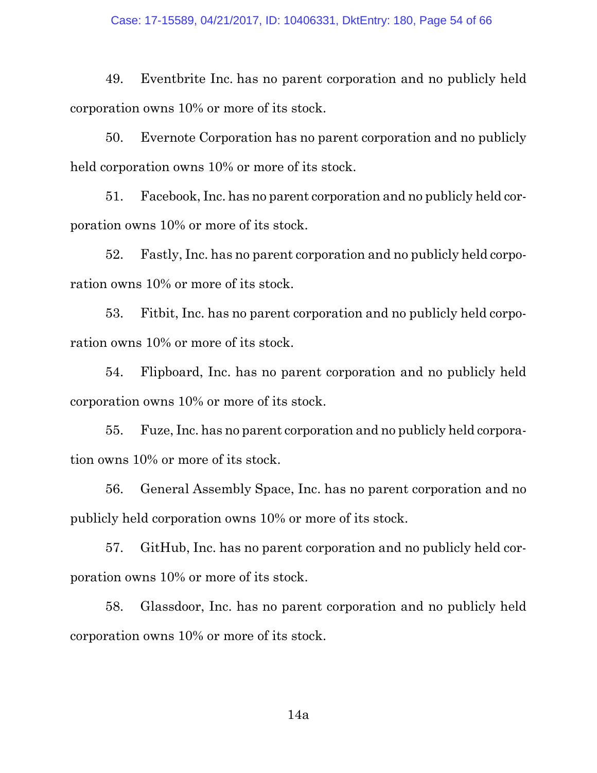49. Eventbrite Inc. has no parent corporation and no publicly held corporation owns 10% or more of its stock.

50. Evernote Corporation has no parent corporation and no publicly held corporation owns 10% or more of its stock.

51. Facebook, Inc. has no parent corporation and no publicly held corporation owns 10% or more of its stock.

52. Fastly, Inc. has no parent corporation and no publicly held corporation owns 10% or more of its stock.

53. Fitbit, Inc. has no parent corporation and no publicly held corporation owns 10% or more of its stock.

54. Flipboard, Inc. has no parent corporation and no publicly held corporation owns 10% or more of its stock.

55. Fuze, Inc. has no parent corporation and no publicly held corporation owns 10% or more of its stock.

56. General Assembly Space, Inc. has no parent corporation and no publicly held corporation owns 10% or more of its stock.

57. GitHub, Inc. has no parent corporation and no publicly held corporation owns 10% or more of its stock.

58. Glassdoor, Inc. has no parent corporation and no publicly held corporation owns 10% or more of its stock.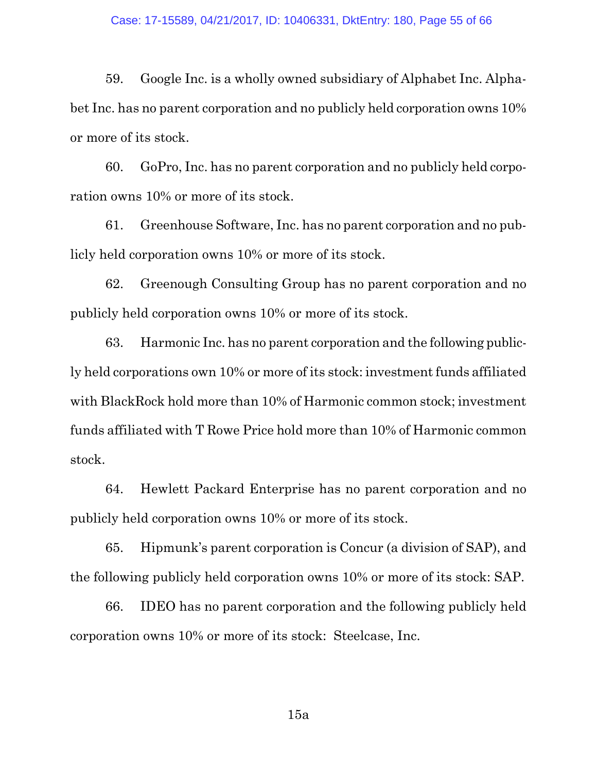59. Google Inc. is a wholly owned subsidiary of Alphabet Inc. Alphabet Inc. has no parent corporation and no publicly held corporation owns 10% or more of its stock.

60. GoPro, Inc. has no parent corporation and no publicly held corporation owns 10% or more of its stock.

61. Greenhouse Software, Inc. has no parent corporation and no publicly held corporation owns 10% or more of its stock.

62. Greenough Consulting Group has no parent corporation and no publicly held corporation owns 10% or more of its stock.

63. Harmonic Inc. has no parent corporation and the following publicly held corporations own 10% or more of its stock: investment funds affiliated with BlackRock hold more than 10% of Harmonic common stock; investment funds affiliated with T Rowe Price hold more than 10% of Harmonic common stock.

64. Hewlett Packard Enterprise has no parent corporation and no publicly held corporation owns 10% or more of its stock.

65. Hipmunk's parent corporation is Concur (a division of SAP), and the following publicly held corporation owns 10% or more of its stock: SAP.

66. IDEO has no parent corporation and the following publicly held corporation owns 10% or more of its stock: Steelcase, Inc.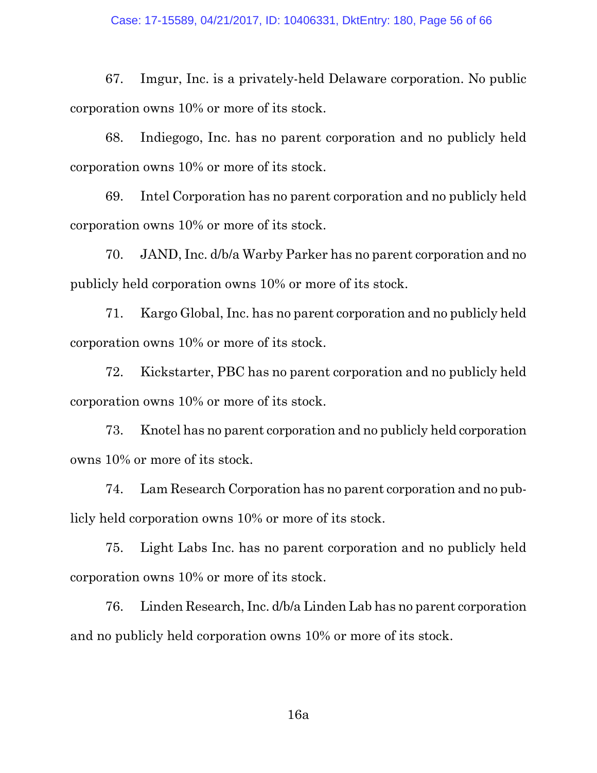67. Imgur, Inc. is a privately-held Delaware corporation. No public corporation owns 10% or more of its stock.

68. Indiegogo, Inc. has no parent corporation and no publicly held corporation owns 10% or more of its stock.

69. Intel Corporation has no parent corporation and no publicly held corporation owns 10% or more of its stock.

70. JAND, Inc. d/b/a Warby Parker has no parent corporation and no publicly held corporation owns 10% or more of its stock.

71. Kargo Global, Inc. has no parent corporation and no publicly held corporation owns 10% or more of its stock.

72. Kickstarter, PBC has no parent corporation and no publicly held corporation owns 10% or more of its stock.

73. Knotel has no parent corporation and no publicly held corporation owns 10% or more of its stock.

74. Lam Research Corporation has no parent corporation and no publicly held corporation owns 10% or more of its stock.

75. Light Labs Inc. has no parent corporation and no publicly held corporation owns 10% or more of its stock.

76. Linden Research, Inc. d/b/a Linden Lab has no parent corporation and no publicly held corporation owns 10% or more of its stock.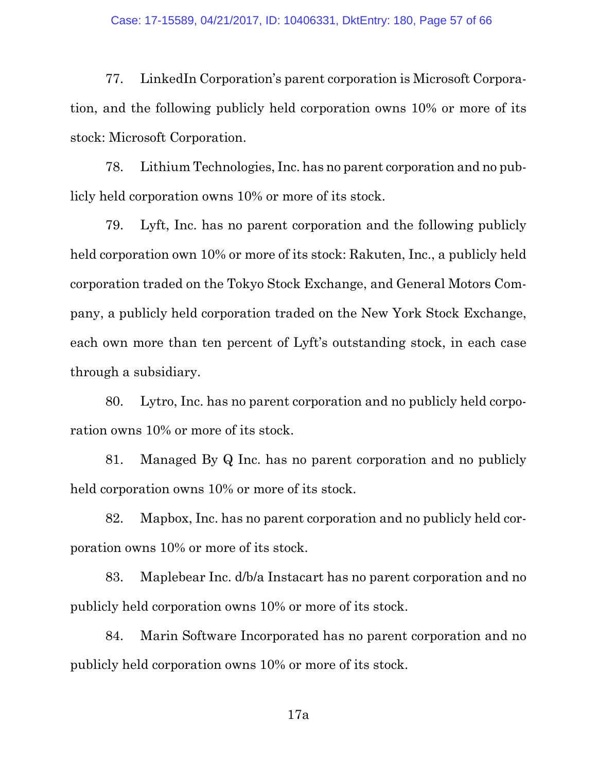#### Case: 17-15589, 04/21/2017, ID: 10406331, DktEntry: 180, Page 57 of 66

77. LinkedIn Corporation's parent corporation is Microsoft Corporation, and the following publicly held corporation owns 10% or more of its stock: Microsoft Corporation.

78. Lithium Technologies, Inc. has no parent corporation and no publicly held corporation owns 10% or more of its stock.

79. Lyft, Inc. has no parent corporation and the following publicly held corporation own 10% or more of its stock: Rakuten, Inc., a publicly held corporation traded on the Tokyo Stock Exchange, and General Motors Company, a publicly held corporation traded on the New York Stock Exchange, each own more than ten percent of Lyft's outstanding stock, in each case through a subsidiary.

80. Lytro, Inc. has no parent corporation and no publicly held corporation owns 10% or more of its stock.

81. Managed By Q Inc. has no parent corporation and no publicly held corporation owns 10% or more of its stock.

82. Mapbox, Inc. has no parent corporation and no publicly held corporation owns 10% or more of its stock.

83. Maplebear Inc. d/b/a Instacart has no parent corporation and no publicly held corporation owns 10% or more of its stock.

84. Marin Software Incorporated has no parent corporation and no publicly held corporation owns 10% or more of its stock.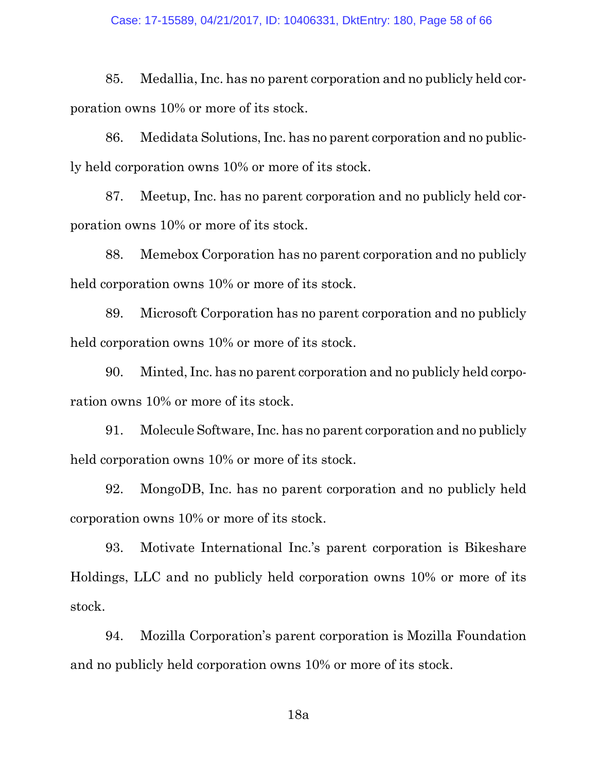85. Medallia, Inc. has no parent corporation and no publicly held corporation owns 10% or more of its stock.

86. Medidata Solutions, Inc. has no parent corporation and no publicly held corporation owns 10% or more of its stock.

87. Meetup, Inc. has no parent corporation and no publicly held corporation owns 10% or more of its stock.

88. Memebox Corporation has no parent corporation and no publicly held corporation owns 10% or more of its stock.

89. Microsoft Corporation has no parent corporation and no publicly held corporation owns 10% or more of its stock.

90. Minted, Inc. has no parent corporation and no publicly held corporation owns 10% or more of its stock.

91. Molecule Software, Inc. has no parent corporation and no publicly held corporation owns 10% or more of its stock.

92. MongoDB, Inc. has no parent corporation and no publicly held corporation owns 10% or more of its stock.

93. Motivate International Inc.'s parent corporation is Bikeshare Holdings, LLC and no publicly held corporation owns 10% or more of its stock.

94. Mozilla Corporation's parent corporation is Mozilla Foundation and no publicly held corporation owns 10% or more of its stock.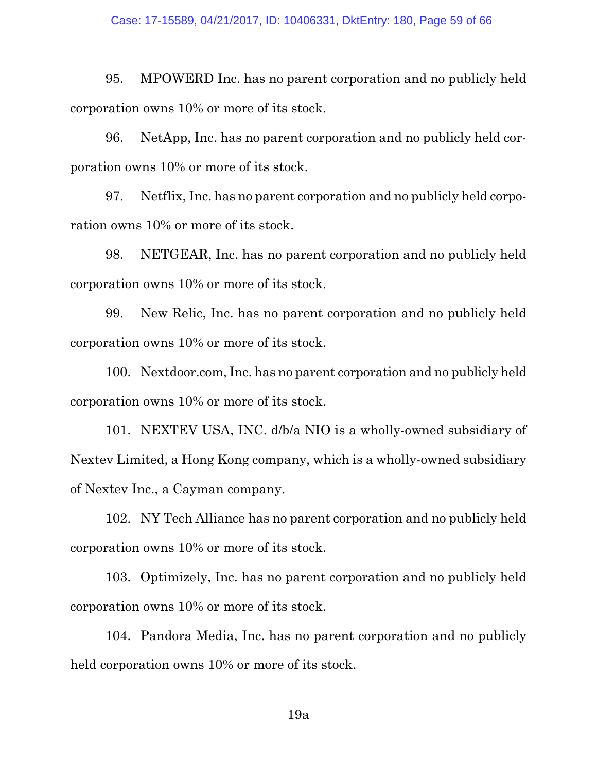95. MPOWERD Inc. has no parent corporation and no publicly held corporation owns 10% or more of its stock.

96. NetApp, Inc. has no parent corporation and no publicly held corporation owns 10% or more of its stock.

97. Netflix, Inc. has no parent corporation and no publicly held corporation owns 10% or more of its stock.

98. NETGEAR, Inc. has no parent corporation and no publicly held corporation owns 10% or more of its stock.

99. New Relic, Inc. has no parent corporation and no publicly held corporation owns 10% or more of its stock.

100. Nextdoor.com, Inc. has no parent corporation and no publicly held corporation owns 10% or more of its stock.

101. NEXTEV USA, INC. d/b/a NIO is a wholly-owned subsidiary of Nextev Limited, a Hong Kong company, which is a wholly-owned subsidiary of Nextev Inc., a Cayman company.

102. NY Tech Alliance has no parent corporation and no publicly held corporation owns 10% or more of its stock.

103. Optimizely, Inc. has no parent corporation and no publicly held corporation owns 10% or more of its stock.

104. Pandora Media, Inc. has no parent corporation and no publicly held corporation owns 10% or more of its stock.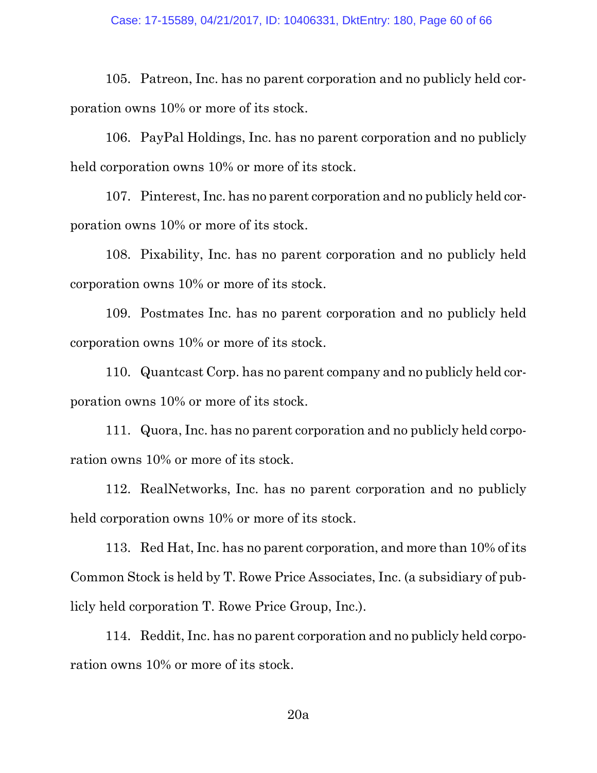105. Patreon, Inc. has no parent corporation and no publicly held corporation owns 10% or more of its stock.

106. PayPal Holdings, Inc. has no parent corporation and no publicly held corporation owns 10% or more of its stock.

107. Pinterest, Inc. has no parent corporation and no publicly held corporation owns 10% or more of its stock.

108. Pixability, Inc. has no parent corporation and no publicly held corporation owns 10% or more of its stock.

109. Postmates Inc. has no parent corporation and no publicly held corporation owns 10% or more of its stock.

110. Quantcast Corp. has no parent company and no publicly held corporation owns 10% or more of its stock.

111. Quora, Inc. has no parent corporation and no publicly held corporation owns 10% or more of its stock.

112. RealNetworks, Inc. has no parent corporation and no publicly held corporation owns 10% or more of its stock.

113. Red Hat, Inc. has no parent corporation, and more than 10% of its Common Stock is held by T. Rowe Price Associates, Inc. (a subsidiary of publicly held corporation T. Rowe Price Group, Inc.).

114. Reddit, Inc. has no parent corporation and no publicly held corporation owns 10% or more of its stock.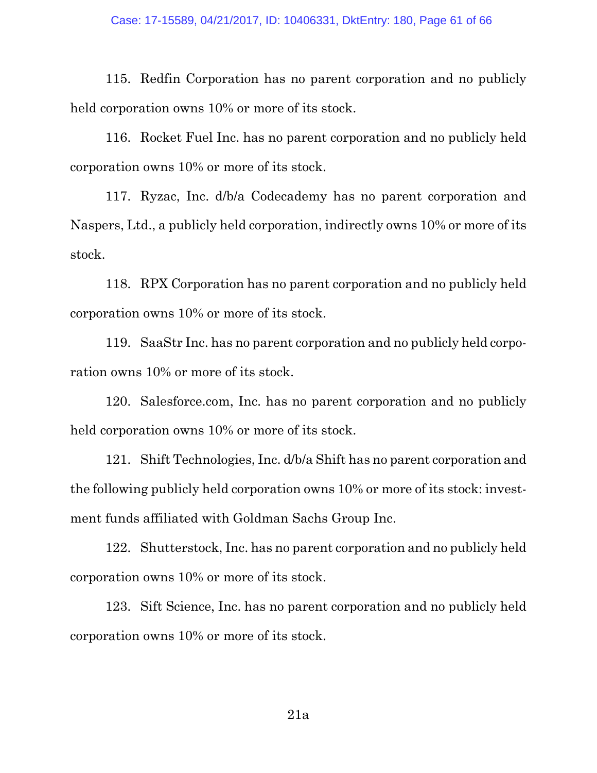115. Redfin Corporation has no parent corporation and no publicly held corporation owns 10% or more of its stock.

116. Rocket Fuel Inc. has no parent corporation and no publicly held corporation owns 10% or more of its stock.

117. Ryzac, Inc. d/b/a Codecademy has no parent corporation and Naspers, Ltd., a publicly held corporation, indirectly owns 10% or more of its stock.

118. RPX Corporation has no parent corporation and no publicly held corporation owns 10% or more of its stock.

119. SaaStr Inc. has no parent corporation and no publicly held corporation owns 10% or more of its stock.

120. Salesforce.com, Inc. has no parent corporation and no publicly held corporation owns 10% or more of its stock.

121. Shift Technologies, Inc. d/b/a Shift has no parent corporation and the following publicly held corporation owns 10% or more of its stock: investment funds affiliated with Goldman Sachs Group Inc.

122. Shutterstock, Inc. has no parent corporation and no publicly held corporation owns 10% or more of its stock.

123. Sift Science, Inc. has no parent corporation and no publicly held corporation owns 10% or more of its stock.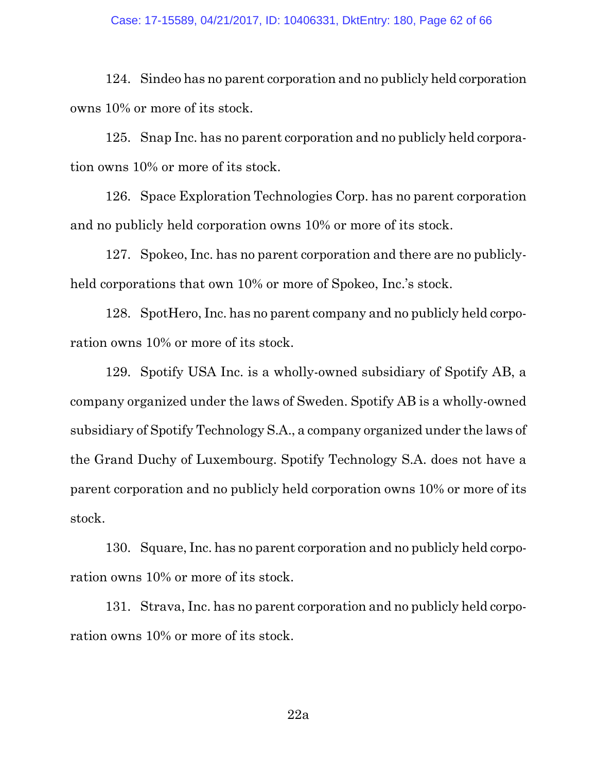#### Case: 17-15589, 04/21/2017, ID: 10406331, DktEntry: 180, Page 62 of 66

124. Sindeo has no parent corporation and no publicly held corporation owns 10% or more of its stock.

125. Snap Inc. has no parent corporation and no publicly held corporation owns 10% or more of its stock.

126. Space Exploration Technologies Corp. has no parent corporation and no publicly held corporation owns 10% or more of its stock.

127. Spokeo, Inc. has no parent corporation and there are no publiclyheld corporations that own 10% or more of Spokeo, Inc.'s stock.

128. SpotHero, Inc. has no parent company and no publicly held corporation owns 10% or more of its stock.

129. Spotify USA Inc. is a wholly-owned subsidiary of Spotify AB, a company organized under the laws of Sweden. Spotify AB is a wholly-owned subsidiary of Spotify Technology S.A., a company organized under the laws of the Grand Duchy of Luxembourg. Spotify Technology S.A. does not have a parent corporation and no publicly held corporation owns 10% or more of its stock.

130. Square, Inc. has no parent corporation and no publicly held corporation owns 10% or more of its stock.

131. Strava, Inc. has no parent corporation and no publicly held corporation owns 10% or more of its stock.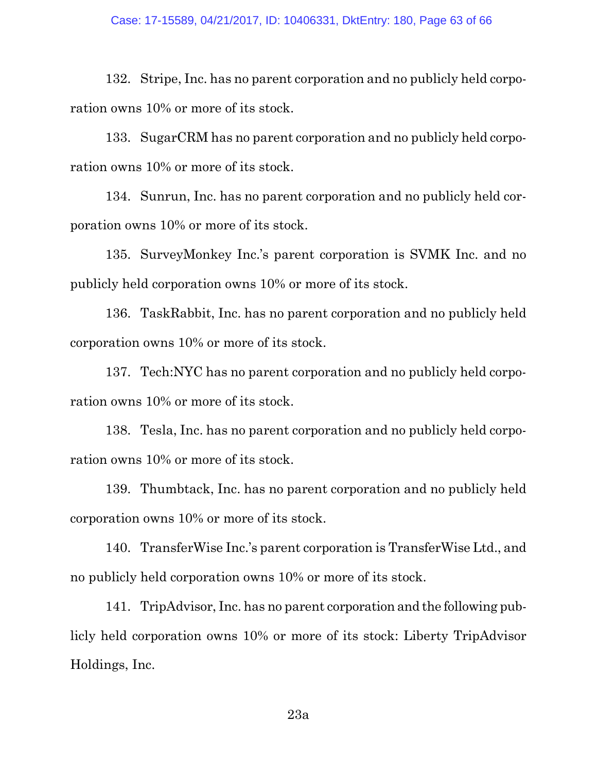132. Stripe, Inc. has no parent corporation and no publicly held corporation owns 10% or more of its stock.

133. SugarCRM has no parent corporation and no publicly held corporation owns 10% or more of its stock.

134. Sunrun, Inc. has no parent corporation and no publicly held corporation owns 10% or more of its stock.

135. SurveyMonkey Inc.'s parent corporation is SVMK Inc. and no publicly held corporation owns 10% or more of its stock.

136. TaskRabbit, Inc. has no parent corporation and no publicly held corporation owns 10% or more of its stock.

137. Tech:NYC has no parent corporation and no publicly held corporation owns 10% or more of its stock.

138. Tesla, Inc. has no parent corporation and no publicly held corporation owns 10% or more of its stock.

139. Thumbtack, Inc. has no parent corporation and no publicly held corporation owns 10% or more of its stock.

140. TransferWise Inc.'s parent corporation is TransferWise Ltd., and no publicly held corporation owns 10% or more of its stock.

141. TripAdvisor, Inc. has no parent corporation and the following publicly held corporation owns 10% or more of its stock: Liberty TripAdvisor Holdings, Inc.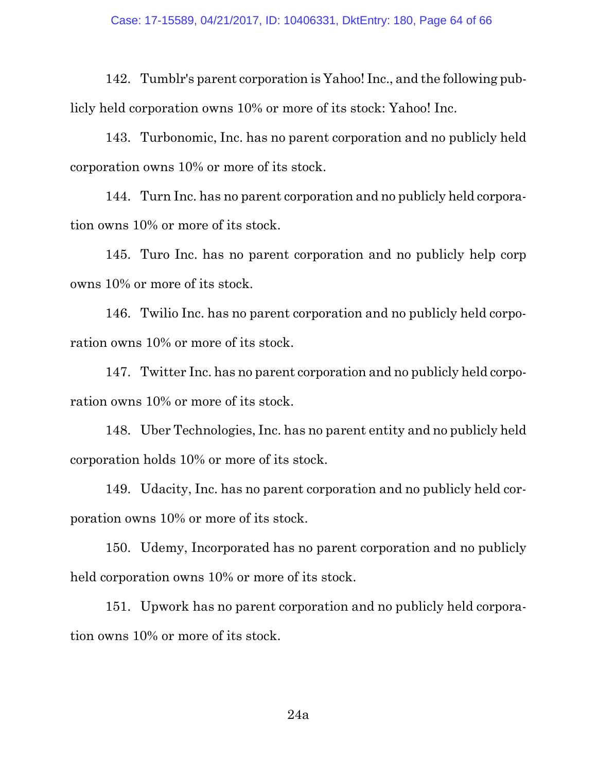142. Tumblr's parent corporation is Yahoo! Inc., and the following publicly held corporation owns 10% or more of its stock: Yahoo! Inc.

143. Turbonomic, Inc. has no parent corporation and no publicly held corporation owns 10% or more of its stock.

144. Turn Inc. has no parent corporation and no publicly held corporation owns 10% or more of its stock.

145. Turo Inc. has no parent corporation and no publicly help corp owns 10% or more of its stock.

146. Twilio Inc. has no parent corporation and no publicly held corporation owns 10% or more of its stock.

147. Twitter Inc. has no parent corporation and no publicly held corporation owns 10% or more of its stock.

148. Uber Technologies, Inc. has no parent entity and no publicly held corporation holds 10% or more of its stock.

149. Udacity, Inc. has no parent corporation and no publicly held corporation owns 10% or more of its stock.

150. Udemy, Incorporated has no parent corporation and no publicly held corporation owns 10% or more of its stock.

151. Upwork has no parent corporation and no publicly held corporation owns 10% or more of its stock.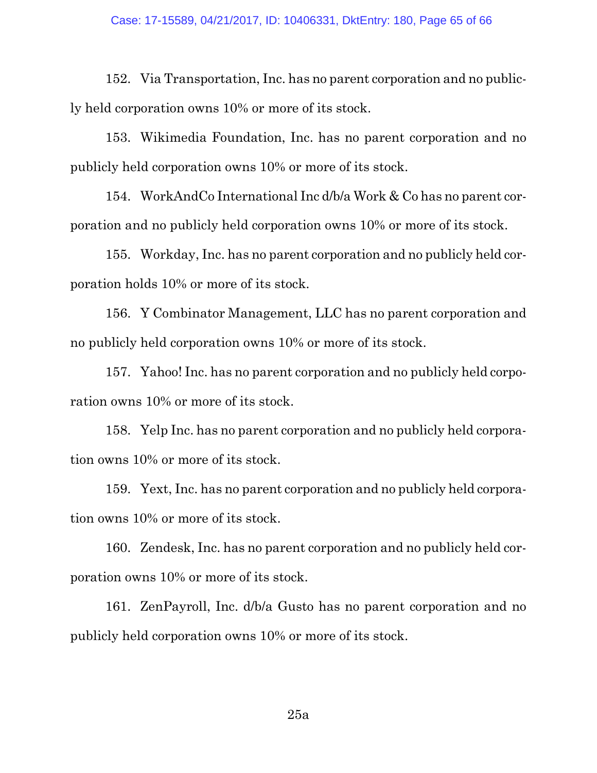152. Via Transportation, Inc. has no parent corporation and no publicly held corporation owns 10% or more of its stock.

153. Wikimedia Foundation, Inc. has no parent corporation and no publicly held corporation owns 10% or more of its stock.

154. WorkAndCo International Inc d/b/a Work & Co has no parent corporation and no publicly held corporation owns 10% or more of its stock.

155. Workday, Inc. has no parent corporation and no publicly held corporation holds 10% or more of its stock.

156. Y Combinator Management, LLC has no parent corporation and no publicly held corporation owns 10% or more of its stock.

157. Yahoo! Inc. has no parent corporation and no publicly held corporation owns 10% or more of its stock.

158. Yelp Inc. has no parent corporation and no publicly held corporation owns 10% or more of its stock.

159. Yext, Inc. has no parent corporation and no publicly held corporation owns 10% or more of its stock.

160. Zendesk, Inc. has no parent corporation and no publicly held corporation owns 10% or more of its stock.

161. ZenPayroll, Inc. d/b/a Gusto has no parent corporation and no publicly held corporation owns 10% or more of its stock.